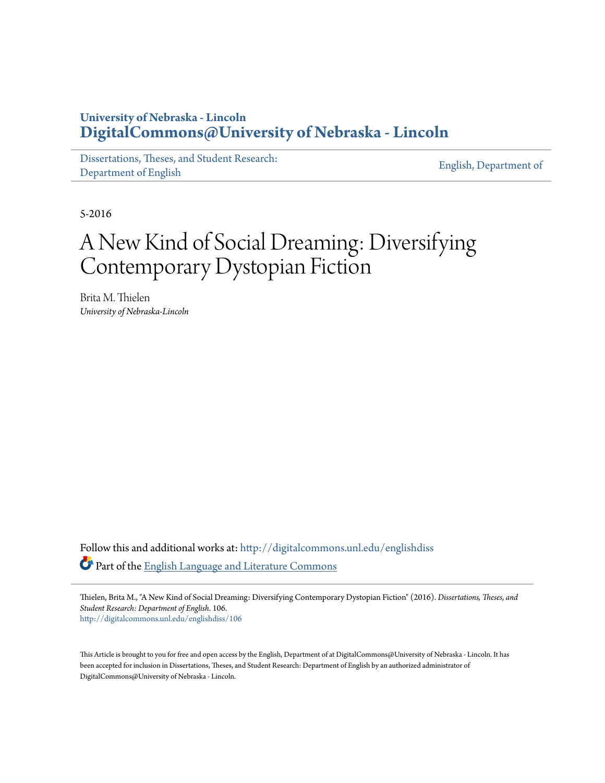# **University of Nebraska - Lincoln [DigitalCommons@University of Nebraska - Lincoln](http://digitalcommons.unl.edu?utm_source=digitalcommons.unl.edu%2Fenglishdiss%2F106&utm_medium=PDF&utm_campaign=PDFCoverPages)**

[Dissertations, Theses, and Student Research:](http://digitalcommons.unl.edu/englishdiss?utm_source=digitalcommons.unl.edu%2Fenglishdiss%2F106&utm_medium=PDF&utm_campaign=PDFCoverPages) [Department of English](http://digitalcommons.unl.edu/englishdiss?utm_source=digitalcommons.unl.edu%2Fenglishdiss%2F106&utm_medium=PDF&utm_campaign=PDFCoverPages) [English, Department of](http://digitalcommons.unl.edu/english?utm_source=digitalcommons.unl.edu%2Fenglishdiss%2F106&utm_medium=PDF&utm_campaign=PDFCoverPages) English English, Department of

5-2016

# A New Kind of Social Dreaming: Diversifying Contemporary Dystopian Fiction

Brita M. Thielen *University of Nebraska-Lincoln*

Follow this and additional works at: [http://digitalcommons.unl.edu/englishdiss](http://digitalcommons.unl.edu/englishdiss?utm_source=digitalcommons.unl.edu%2Fenglishdiss%2F106&utm_medium=PDF&utm_campaign=PDFCoverPages) Part of the [English Language and Literature Commons](http://network.bepress.com/hgg/discipline/455?utm_source=digitalcommons.unl.edu%2Fenglishdiss%2F106&utm_medium=PDF&utm_campaign=PDFCoverPages)

Thielen, Brita M., "A New Kind of Social Dreaming: Diversifying Contemporary Dystopian Fiction" (2016). *Dissertations, Theses, and Student Research: Department of English*. 106. [http://digitalcommons.unl.edu/englishdiss/106](http://digitalcommons.unl.edu/englishdiss/106?utm_source=digitalcommons.unl.edu%2Fenglishdiss%2F106&utm_medium=PDF&utm_campaign=PDFCoverPages)

This Article is brought to you for free and open access by the English, Department of at DigitalCommons@University of Nebraska - Lincoln. It has been accepted for inclusion in Dissertations, Theses, and Student Research: Department of English by an authorized administrator of DigitalCommons@University of Nebraska - Lincoln.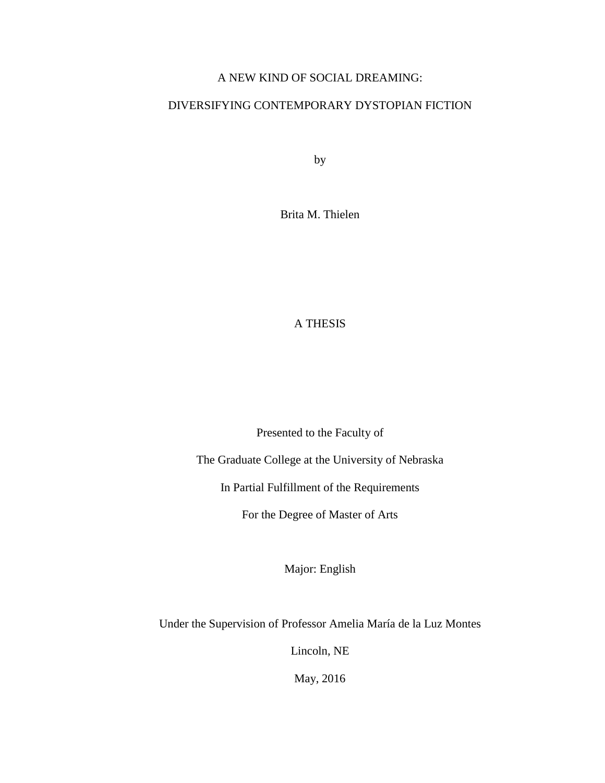# A NEW KIND OF SOCIAL DREAMING:

# DIVERSIFYING CONTEMPORARY DYSTOPIAN FICTION

by

Brita M. Thielen

A THESIS

Presented to the Faculty of

The Graduate College at the University of Nebraska

In Partial Fulfillment of the Requirements

For the Degree of Master of Arts

Major: English

Under the Supervision of Professor Amelia María de la Luz Montes

Lincoln, NE

May, 2016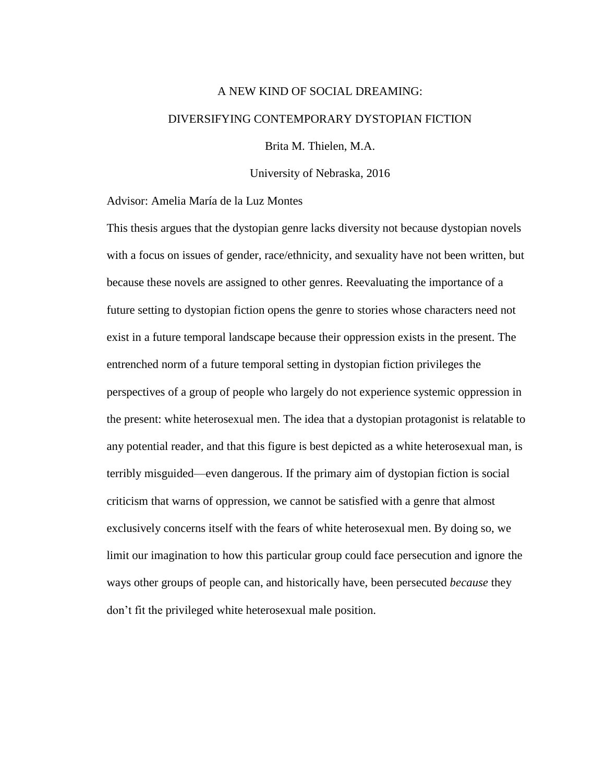# A NEW KIND OF SOCIAL DREAMING: DIVERSIFYING CONTEMPORARY DYSTOPIAN FICTION

Brita M. Thielen, M.A.

University of Nebraska, 2016

Advisor: Amelia María de la Luz Montes

This thesis argues that the dystopian genre lacks diversity not because dystopian novels with a focus on issues of gender, race/ethnicity, and sexuality have not been written, but because these novels are assigned to other genres. Reevaluating the importance of a future setting to dystopian fiction opens the genre to stories whose characters need not exist in a future temporal landscape because their oppression exists in the present. The entrenched norm of a future temporal setting in dystopian fiction privileges the perspectives of a group of people who largely do not experience systemic oppression in the present: white heterosexual men. The idea that a dystopian protagonist is relatable to any potential reader, and that this figure is best depicted as a white heterosexual man, is terribly misguided—even dangerous. If the primary aim of dystopian fiction is social criticism that warns of oppression, we cannot be satisfied with a genre that almost exclusively concerns itself with the fears of white heterosexual men. By doing so, we limit our imagination to how this particular group could face persecution and ignore the ways other groups of people can, and historically have, been persecuted *because* they don't fit the privileged white heterosexual male position.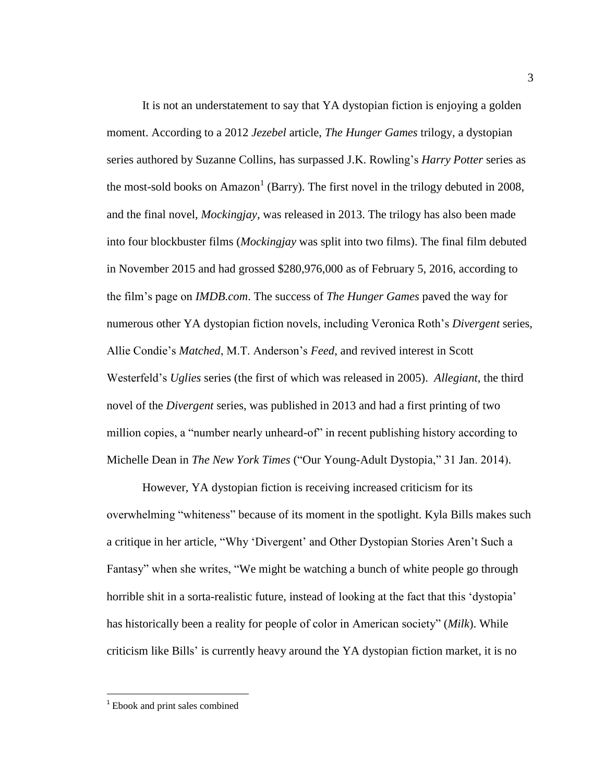It is not an understatement to say that YA dystopian fiction is enjoying a golden moment. According to a 2012 *Jezebel* article, *The Hunger Games* trilogy, a dystopian series authored by Suzanne Collins, has surpassed J.K. Rowling's *Harry Potter* series as the most-sold books on Amazon<sup>1</sup> (Barry). The first novel in the trilogy debuted in 2008, and the final novel, *Mockingjay*, was released in 2013. The trilogy has also been made into four blockbuster films (*Mockingjay* was split into two films). The final film debuted in November 2015 and had grossed \$280,976,000 as of February 5, 2016, according to the film's page on *IMDB.com*. The success of *The Hunger Games* paved the way for numerous other YA dystopian fiction novels, including Veronica Roth's *Divergent* series, Allie Condie's *Matched*, M.T. Anderson's *Feed*, and revived interest in Scott Westerfeld's *Uglies* series (the first of which was released in 2005). *Allegiant,* the third novel of the *Divergent* series, was published in 2013 and had a first printing of two million copies, a "number nearly unheard-of" in recent publishing history according to Michelle Dean in *The New York Times* ("Our Young-Adult Dystopia," 31 Jan. 2014).

However, YA dystopian fiction is receiving increased criticism for its overwhelming "whiteness" because of its moment in the spotlight. Kyla Bills makes such a critique in her article, "Why 'Divergent' and Other Dystopian Stories Aren't Such a Fantasy" when she writes, "We might be watching a bunch of white people go through horrible shit in a sorta-realistic future, instead of looking at the fact that this 'dystopia' has historically been a reality for people of color in American society" (*Milk*). While criticism like Bills' is currently heavy around the YA dystopian fiction market, it is no

<sup>&</sup>lt;sup>1</sup> Ebook and print sales combined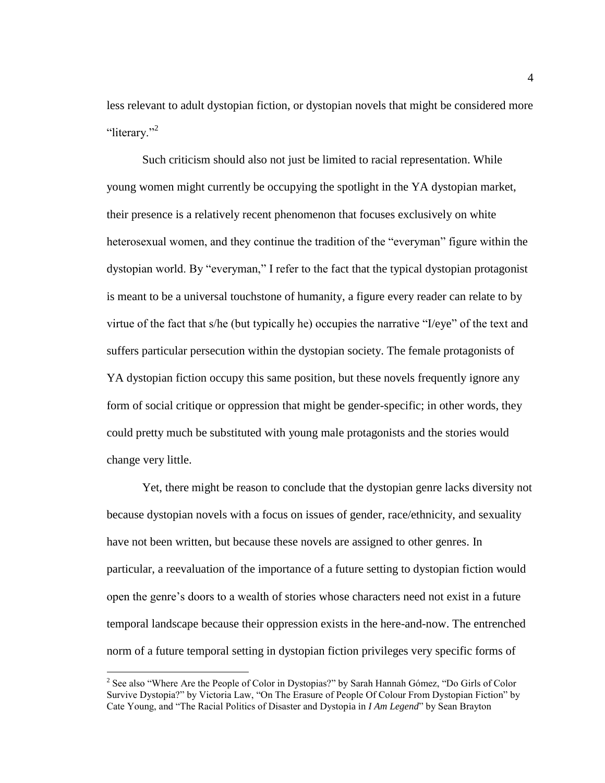less relevant to adult dystopian fiction, or dystopian novels that might be considered more "literary."<sup>2</sup>

Such criticism should also not just be limited to racial representation. While young women might currently be occupying the spotlight in the YA dystopian market, their presence is a relatively recent phenomenon that focuses exclusively on white heterosexual women, and they continue the tradition of the "everyman" figure within the dystopian world. By "everyman," I refer to the fact that the typical dystopian protagonist is meant to be a universal touchstone of humanity, a figure every reader can relate to by virtue of the fact that s/he (but typically he) occupies the narrative "I/eye" of the text and suffers particular persecution within the dystopian society. The female protagonists of YA dystopian fiction occupy this same position, but these novels frequently ignore any form of social critique or oppression that might be gender-specific; in other words, they could pretty much be substituted with young male protagonists and the stories would change very little.

Yet, there might be reason to conclude that the dystopian genre lacks diversity not because dystopian novels with a focus on issues of gender, race/ethnicity, and sexuality have not been written, but because these novels are assigned to other genres. In particular, a reevaluation of the importance of a future setting to dystopian fiction would open the genre's doors to a wealth of stories whose characters need not exist in a future temporal landscape because their oppression exists in the here-and-now. The entrenched norm of a future temporal setting in dystopian fiction privileges very specific forms of

<sup>&</sup>lt;sup>2</sup> See also "Where Are the People of Color in Dystopias?" by Sarah Hannah Gómez, "Do Girls of Color Survive Dystopia?" by Victoria Law, "On The Erasure of People Of Colour From Dystopian Fiction" by Cate Young, and "The Racial Politics of Disaster and Dystopia in *I Am Legend*" by Sean Brayton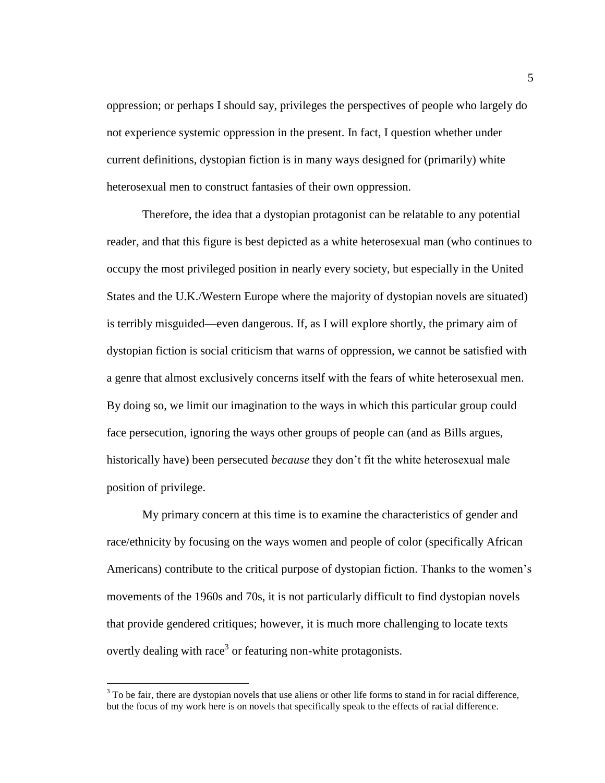oppression; or perhaps I should say, privileges the perspectives of people who largely do not experience systemic oppression in the present. In fact, I question whether under current definitions, dystopian fiction is in many ways designed for (primarily) white heterosexual men to construct fantasies of their own oppression.

Therefore, the idea that a dystopian protagonist can be relatable to any potential reader, and that this figure is best depicted as a white heterosexual man (who continues to occupy the most privileged position in nearly every society, but especially in the United States and the U.K./Western Europe where the majority of dystopian novels are situated) is terribly misguided—even dangerous. If, as I will explore shortly, the primary aim of dystopian fiction is social criticism that warns of oppression, we cannot be satisfied with a genre that almost exclusively concerns itself with the fears of white heterosexual men. By doing so, we limit our imagination to the ways in which this particular group could face persecution, ignoring the ways other groups of people can (and as Bills argues, historically have) been persecuted *because* they don't fit the white heterosexual male position of privilege.

My primary concern at this time is to examine the characteristics of gender and race/ethnicity by focusing on the ways women and people of color (specifically African Americans) contribute to the critical purpose of dystopian fiction. Thanks to the women's movements of the 1960s and 70s, it is not particularly difficult to find dystopian novels that provide gendered critiques; however, it is much more challenging to locate texts overtly dealing with race<sup>3</sup> or featuring non-white protagonists.

 $3$  To be fair, there are dystopian novels that use aliens or other life forms to stand in for racial difference, but the focus of my work here is on novels that specifically speak to the effects of racial difference.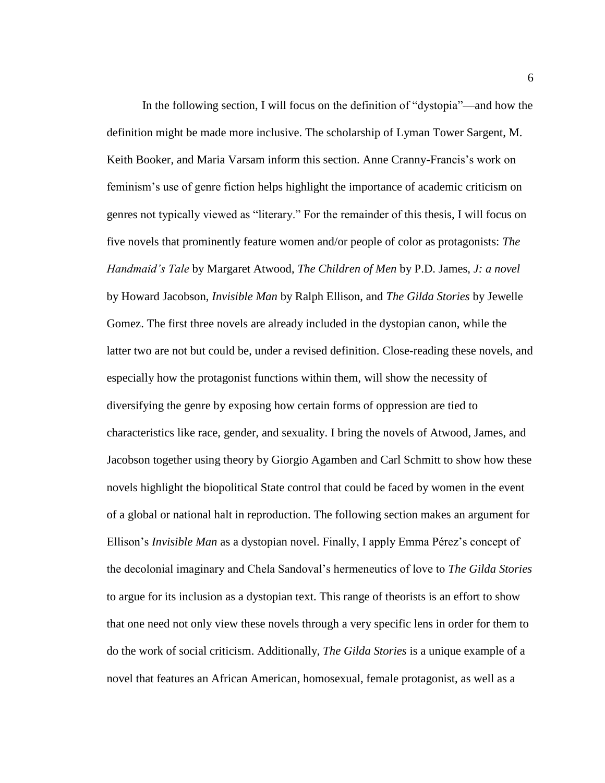In the following section, I will focus on the definition of "dystopia"—and how the definition might be made more inclusive. The scholarship of Lyman Tower Sargent, M. Keith Booker, and Maria Varsam inform this section. Anne Cranny-Francis's work on feminism's use of genre fiction helps highlight the importance of academic criticism on genres not typically viewed as "literary." For the remainder of this thesis, I will focus on five novels that prominently feature women and/or people of color as protagonists: *The Handmaid's Tale* by Margaret Atwood, *The Children of Men* by P.D. James, *J: a novel* by Howard Jacobson, *Invisible Man* by Ralph Ellison, and *The Gilda Stories* by Jewelle Gomez. The first three novels are already included in the dystopian canon, while the latter two are not but could be, under a revised definition. Close-reading these novels, and especially how the protagonist functions within them, will show the necessity of diversifying the genre by exposing how certain forms of oppression are tied to characteristics like race, gender, and sexuality. I bring the novels of Atwood, James, and Jacobson together using theory by Giorgio Agamben and Carl Schmitt to show how these novels highlight the biopolitical State control that could be faced by women in the event of a global or national halt in reproduction. The following section makes an argument for Ellison's *Invisible Man* as a dystopian novel. Finally, I apply Emma Pérez's concept of the decolonial imaginary and Chela Sandoval's hermeneutics of love to *The Gilda Stories* to argue for its inclusion as a dystopian text. This range of theorists is an effort to show that one need not only view these novels through a very specific lens in order for them to do the work of social criticism. Additionally, *The Gilda Stories* is a unique example of a novel that features an African American, homosexual, female protagonist, as well as a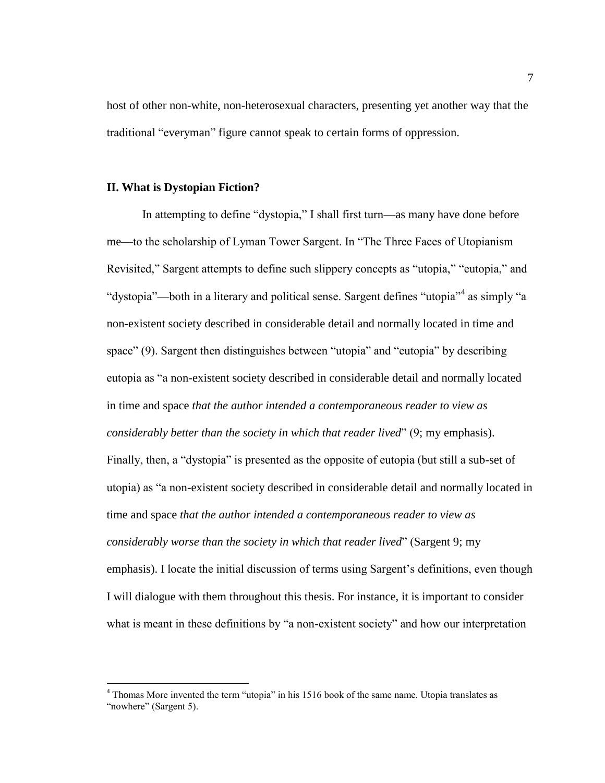host of other non-white, non-heterosexual characters, presenting yet another way that the traditional "everyman" figure cannot speak to certain forms of oppression.

## **II. What is Dystopian Fiction?**

 $\overline{a}$ 

In attempting to define "dystopia," I shall first turn—as many have done before me—to the scholarship of Lyman Tower Sargent. In "The Three Faces of Utopianism Revisited," Sargent attempts to define such slippery concepts as "utopia," "eutopia," and "dystopia"—both in a literary and political sense. Sargent defines "utopia"<sup>4</sup> as simply "a non-existent society described in considerable detail and normally located in time and space" (9). Sargent then distinguishes between "utopia" and "eutopia" by describing eutopia as "a non-existent society described in considerable detail and normally located in time and space *that the author intended a contemporaneous reader to view as considerably better than the society in which that reader lived*" (9; my emphasis). Finally, then, a "dystopia" is presented as the opposite of eutopia (but still a sub-set of utopia) as "a non-existent society described in considerable detail and normally located in time and space *that the author intended a contemporaneous reader to view as considerably worse than the society in which that reader lived*" (Sargent 9; my emphasis). I locate the initial discussion of terms using Sargent's definitions, even though I will dialogue with them throughout this thesis. For instance, it is important to consider what is meant in these definitions by "a non-existent society" and how our interpretation

 $4$  Thomas More invented the term "utopia" in his 1516 book of the same name. Utopia translates as "nowhere" (Sargent 5).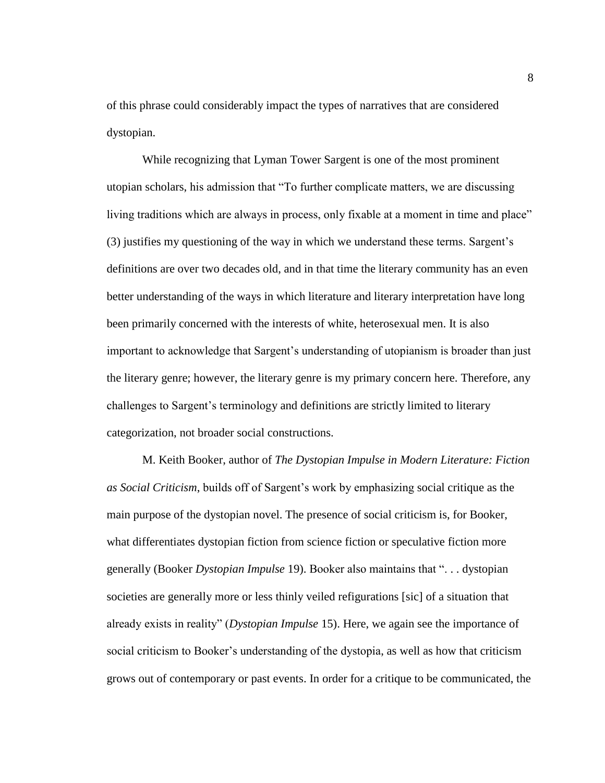of this phrase could considerably impact the types of narratives that are considered dystopian.

While recognizing that Lyman Tower Sargent is one of the most prominent utopian scholars, his admission that "To further complicate matters, we are discussing living traditions which are always in process, only fixable at a moment in time and place" (3) justifies my questioning of the way in which we understand these terms. Sargent's definitions are over two decades old, and in that time the literary community has an even better understanding of the ways in which literature and literary interpretation have long been primarily concerned with the interests of white, heterosexual men. It is also important to acknowledge that Sargent's understanding of utopianism is broader than just the literary genre; however, the literary genre is my primary concern here. Therefore, any challenges to Sargent's terminology and definitions are strictly limited to literary categorization, not broader social constructions.

M. Keith Booker, author of *The Dystopian Impulse in Modern Literature: Fiction as Social Criticism*, builds off of Sargent's work by emphasizing social critique as the main purpose of the dystopian novel. The presence of social criticism is, for Booker, what differentiates dystopian fiction from science fiction or speculative fiction more generally (Booker *Dystopian Impulse* 19). Booker also maintains that ". . . dystopian societies are generally more or less thinly veiled refigurations [sic] of a situation that already exists in reality" (*Dystopian Impulse* 15). Here, we again see the importance of social criticism to Booker's understanding of the dystopia, as well as how that criticism grows out of contemporary or past events. In order for a critique to be communicated, the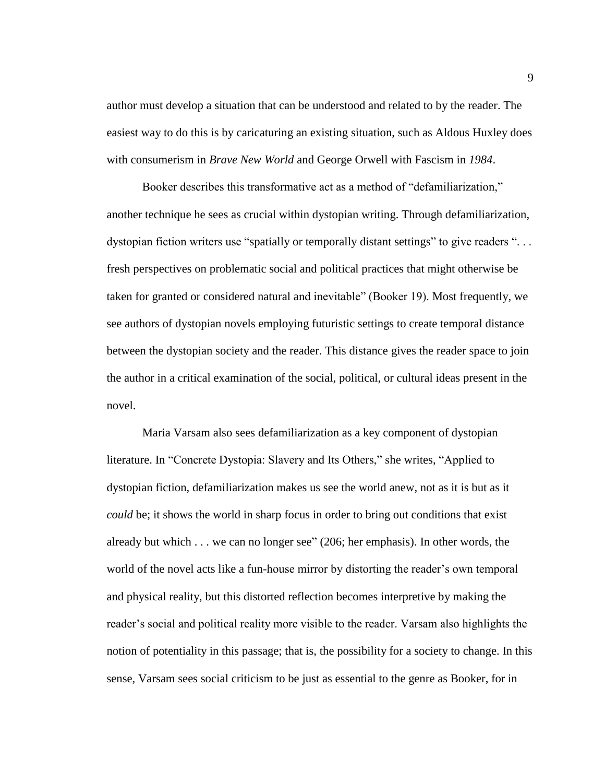author must develop a situation that can be understood and related to by the reader. The easiest way to do this is by caricaturing an existing situation, such as Aldous Huxley does with consumerism in *Brave New World* and George Orwell with Fascism in *1984*.

Booker describes this transformative act as a method of "defamiliarization," another technique he sees as crucial within dystopian writing. Through defamiliarization, dystopian fiction writers use "spatially or temporally distant settings" to give readers "... fresh perspectives on problematic social and political practices that might otherwise be taken for granted or considered natural and inevitable" (Booker 19). Most frequently, we see authors of dystopian novels employing futuristic settings to create temporal distance between the dystopian society and the reader. This distance gives the reader space to join the author in a critical examination of the social, political, or cultural ideas present in the novel.

Maria Varsam also sees defamiliarization as a key component of dystopian literature. In "Concrete Dystopia: Slavery and Its Others," she writes, "Applied to dystopian fiction, defamiliarization makes us see the world anew, not as it is but as it *could* be; it shows the world in sharp focus in order to bring out conditions that exist already but which . . . we can no longer see" (206; her emphasis). In other words, the world of the novel acts like a fun-house mirror by distorting the reader's own temporal and physical reality, but this distorted reflection becomes interpretive by making the reader's social and political reality more visible to the reader. Varsam also highlights the notion of potentiality in this passage; that is, the possibility for a society to change. In this sense, Varsam sees social criticism to be just as essential to the genre as Booker, for in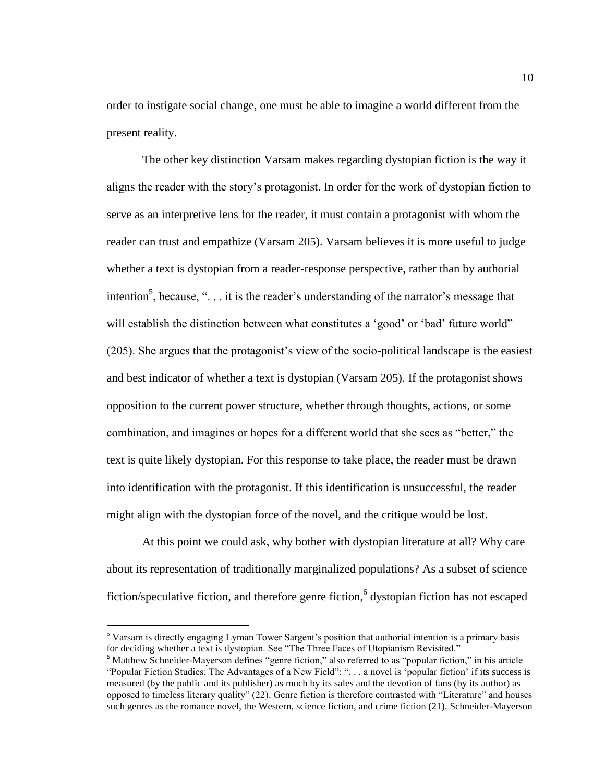order to instigate social change, one must be able to imagine a world different from the present reality.

The other key distinction Varsam makes regarding dystopian fiction is the way it aligns the reader with the story's protagonist. In order for the work of dystopian fiction to serve as an interpretive lens for the reader, it must contain a protagonist with whom the reader can trust and empathize (Varsam 205). Varsam believes it is more useful to judge whether a text is dystopian from a reader-response perspective, rather than by authorial intention<sup>5</sup>, because, " $\dots$  it is the reader's understanding of the narrator's message that will establish the distinction between what constitutes a 'good' or 'bad' future world'' (205). She argues that the protagonist's view of the socio-political landscape is the easiest and best indicator of whether a text is dystopian (Varsam 205). If the protagonist shows opposition to the current power structure, whether through thoughts, actions, or some combination, and imagines or hopes for a different world that she sees as "better," the text is quite likely dystopian. For this response to take place, the reader must be drawn into identification with the protagonist. If this identification is unsuccessful, the reader might align with the dystopian force of the novel, and the critique would be lost.

At this point we could ask, why bother with dystopian literature at all? Why care about its representation of traditionally marginalized populations? As a subset of science fiction/speculative fiction, and therefore genre fiction,<sup>6</sup> dystopian fiction has not escaped

<sup>5</sup> Varsam is directly engaging Lyman Tower Sargent's position that authorial intention is a primary basis for deciding whether a text is dystopian. See "The Three Faces of Utopianism Revisited."

<sup>&</sup>lt;sup>6</sup> Matthew Schneider-Mayerson defines "genre fiction," also referred to as "popular fiction," in his article "Popular Fiction Studies: The Advantages of a New Field": ". . . a novel is 'popular fiction' if its success is measured (by the public and its publisher) as much by its sales and the devotion of fans (by its author) as opposed to timeless literary quality" (22). Genre fiction is therefore contrasted with "Literature" and houses such genres as the romance novel, the Western, science fiction, and crime fiction (21). Schneider-Mayerson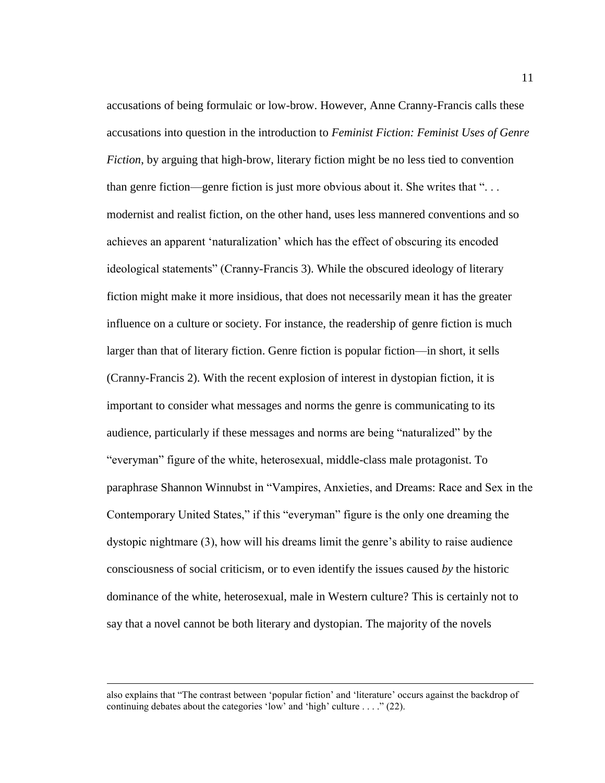accusations of being formulaic or low-brow. However, Anne Cranny-Francis calls these accusations into question in the introduction to *Feminist Fiction: Feminist Uses of Genre Fiction*, by arguing that high-brow, literary fiction might be no less tied to convention than genre fiction—genre fiction is just more obvious about it. She writes that ". . . modernist and realist fiction, on the other hand, uses less mannered conventions and so achieves an apparent 'naturalization' which has the effect of obscuring its encoded ideological statements" (Cranny-Francis 3). While the obscured ideology of literary fiction might make it more insidious, that does not necessarily mean it has the greater influence on a culture or society. For instance, the readership of genre fiction is much larger than that of literary fiction. Genre fiction is popular fiction—in short, it sells (Cranny-Francis 2). With the recent explosion of interest in dystopian fiction, it is important to consider what messages and norms the genre is communicating to its audience, particularly if these messages and norms are being "naturalized" by the "everyman" figure of the white, heterosexual, middle-class male protagonist. To paraphrase Shannon Winnubst in "Vampires, Anxieties, and Dreams: Race and Sex in the Contemporary United States," if this "everyman" figure is the only one dreaming the dystopic nightmare (3), how will his dreams limit the genre's ability to raise audience consciousness of social criticism, or to even identify the issues caused *by* the historic dominance of the white, heterosexual, male in Western culture? This is certainly not to say that a novel cannot be both literary and dystopian. The majority of the novels

also explains that "The contrast between 'popular fiction' and 'literature' occurs against the backdrop of continuing debates about the categories 'low' and 'high' culture . . . ." (22).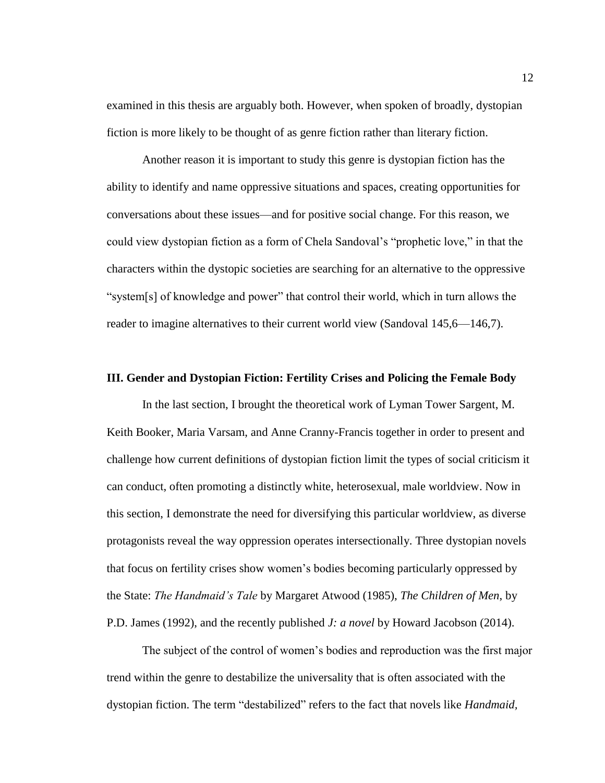examined in this thesis are arguably both. However, when spoken of broadly, dystopian fiction is more likely to be thought of as genre fiction rather than literary fiction.

Another reason it is important to study this genre is dystopian fiction has the ability to identify and name oppressive situations and spaces, creating opportunities for conversations about these issues—and for positive social change. For this reason, we could view dystopian fiction as a form of Chela Sandoval's "prophetic love," in that the characters within the dystopic societies are searching for an alternative to the oppressive "system[s] of knowledge and power" that control their world, which in turn allows the reader to imagine alternatives to their current world view (Sandoval 145,6—146,7).

## **III. Gender and Dystopian Fiction: Fertility Crises and Policing the Female Body**

In the last section, I brought the theoretical work of Lyman Tower Sargent, M. Keith Booker, Maria Varsam, and Anne Cranny-Francis together in order to present and challenge how current definitions of dystopian fiction limit the types of social criticism it can conduct, often promoting a distinctly white, heterosexual, male worldview. Now in this section, I demonstrate the need for diversifying this particular worldview, as diverse protagonists reveal the way oppression operates intersectionally. Three dystopian novels that focus on fertility crises show women's bodies becoming particularly oppressed by the State: *The Handmaid's Tale* by Margaret Atwood (1985), *The Children of Men*, by P.D. James (1992), and the recently published *J: a novel* by Howard Jacobson (2014).

The subject of the control of women's bodies and reproduction was the first major trend within the genre to destabilize the universality that is often associated with the dystopian fiction. The term "destabilized" refers to the fact that novels like *Handmaid,*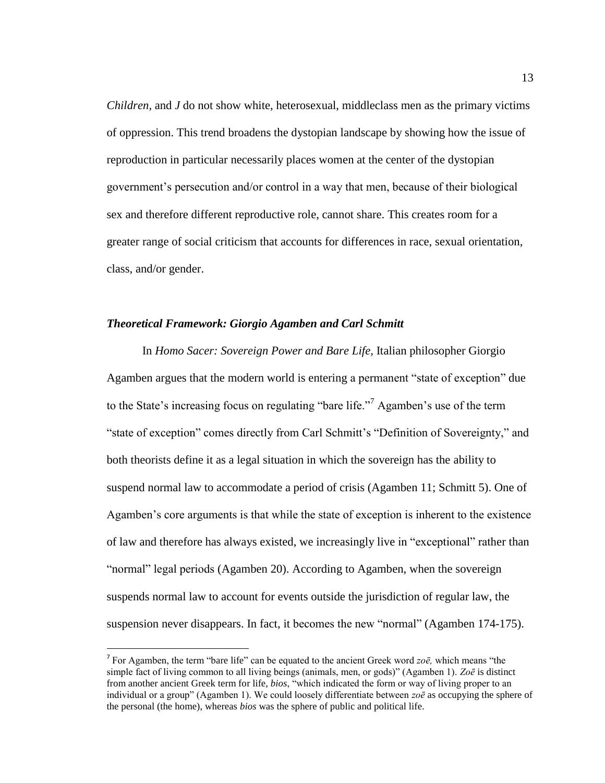*Children,* and *J* do not show white, heterosexual, middleclass men as the primary victims of oppression. This trend broadens the dystopian landscape by showing how the issue of reproduction in particular necessarily places women at the center of the dystopian government's persecution and/or control in a way that men, because of their biological sex and therefore different reproductive role, cannot share. This creates room for a greater range of social criticism that accounts for differences in race, sexual orientation, class, and/or gender.

# *Theoretical Framework: Giorgio Agamben and Carl Schmitt*

 $\overline{a}$ 

In *Homo Sacer: Sovereign Power and Bare Life,* Italian philosopher Giorgio Agamben argues that the modern world is entering a permanent "state of exception" due to the State's increasing focus on regulating "bare life."<sup>7</sup> Agamben's use of the term "state of exception" comes directly from Carl Schmitt's "Definition of Sovereignty," and both theorists define it as a legal situation in which the sovereign has the ability to suspend normal law to accommodate a period of crisis (Agamben 11; Schmitt 5). One of Agamben's core arguments is that while the state of exception is inherent to the existence of law and therefore has always existed, we increasingly live in "exceptional" rather than "normal" legal periods (Agamben 20). According to Agamben, when the sovereign suspends normal law to account for events outside the jurisdiction of regular law, the suspension never disappears. In fact, it becomes the new "normal" (Agamben 174-175).

<sup>&</sup>lt;sup>7</sup> For Agamben, the term "bare life" can be equated to the ancient Greek word  $zo\bar{e}$ , which means "the simple fact of living common to all living beings (animals, men, or gods)" (Agamben 1). *Zoē* is distinct from another ancient Greek term for life, *bios*, "which indicated the form or way of living proper to an individual or a group" (Agamben 1). We could loosely differentiate between *zoē* as occupying the sphere of the personal (the home), whereas *bios* was the sphere of public and political life.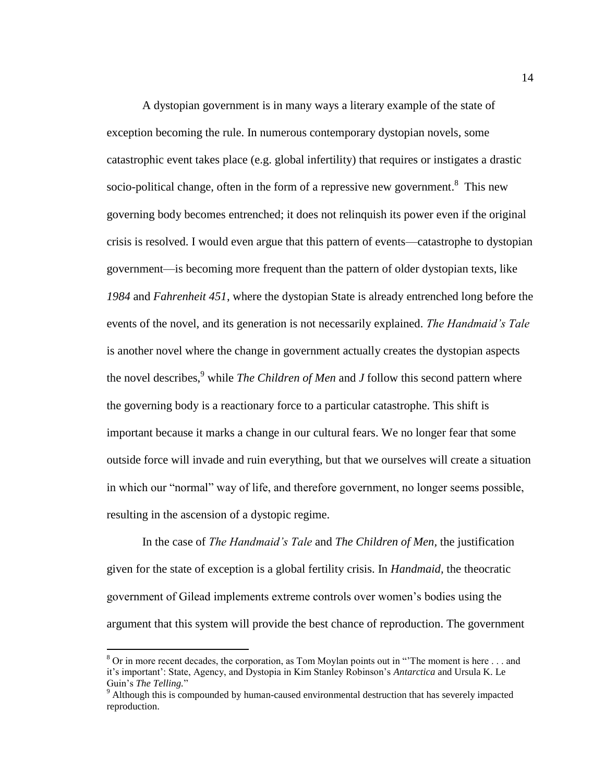A dystopian government is in many ways a literary example of the state of exception becoming the rule. In numerous contemporary dystopian novels, some catastrophic event takes place (e.g. global infertility) that requires or instigates a drastic socio-political change, often in the form of a repressive new government.<sup>8</sup> This new governing body becomes entrenched; it does not relinquish its power even if the original crisis is resolved. I would even argue that this pattern of events—catastrophe to dystopian government—is becoming more frequent than the pattern of older dystopian texts, like *1984* and *Fahrenheit 451*, where the dystopian State is already entrenched long before the events of the novel, and its generation is not necessarily explained. *The Handmaid's Tale*  is another novel where the change in government actually creates the dystopian aspects the novel describes, <sup>9</sup> while *The Children of Men* and *J* follow this second pattern where the governing body is a reactionary force to a particular catastrophe. This shift is important because it marks a change in our cultural fears. We no longer fear that some outside force will invade and ruin everything, but that we ourselves will create a situation in which our "normal" way of life, and therefore government, no longer seems possible, resulting in the ascension of a dystopic regime.

In the case of *The Handmaid's Tale* and *The Children of Men,* the justification given for the state of exception is a global fertility crisis. In *Handmaid,* the theocratic government of Gilead implements extreme controls over women's bodies using the argument that this system will provide the best chance of reproduction. The government

 $8$  Or in more recent decades, the corporation, as Tom Moylan points out in "The moment is here  $\dots$  and it's important': State, Agency, and Dystopia in Kim Stanley Robinson's *Antarctica* and Ursula K. Le Guin's *The Telling.*"

 $9$  Although this is compounded by human-caused environmental destruction that has severely impacted reproduction.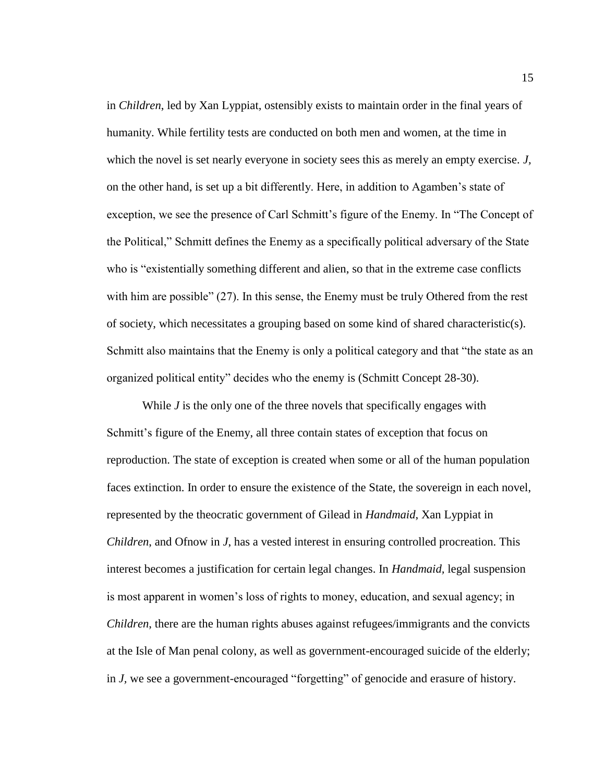in *Children*, led by Xan Lyppiat, ostensibly exists to maintain order in the final years of humanity. While fertility tests are conducted on both men and women, at the time in which the novel is set nearly everyone in society sees this as merely an empty exercise. *J,* on the other hand, is set up a bit differently. Here, in addition to Agamben's state of exception, we see the presence of Carl Schmitt's figure of the Enemy. In "The Concept of the Political," Schmitt defines the Enemy as a specifically political adversary of the State who is "existentially something different and alien, so that in the extreme case conflicts with him are possible" (27). In this sense, the Enemy must be truly Othered from the rest of society, which necessitates a grouping based on some kind of shared characteristic(s). Schmitt also maintains that the Enemy is only a political category and that "the state as an organized political entity" decides who the enemy is (Schmitt Concept 28-30).

While *J* is the only one of the three novels that specifically engages with Schmitt's figure of the Enemy, all three contain states of exception that focus on reproduction. The state of exception is created when some or all of the human population faces extinction. In order to ensure the existence of the State, the sovereign in each novel, represented by the theocratic government of Gilead in *Handmaid*, Xan Lyppiat in *Children*, and Ofnow in *J*, has a vested interest in ensuring controlled procreation. This interest becomes a justification for certain legal changes. In *Handmaid,* legal suspension is most apparent in women's loss of rights to money, education, and sexual agency; in *Children*, there are the human rights abuses against refugees/immigrants and the convicts at the Isle of Man penal colony, as well as government-encouraged suicide of the elderly; in *J,* we see a government-encouraged "forgetting" of genocide and erasure of history.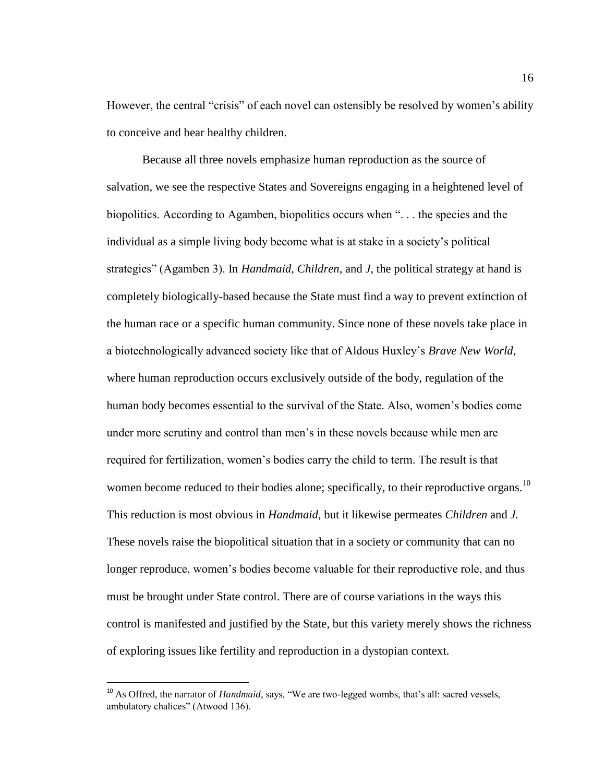However, the central "crisis" of each novel can ostensibly be resolved by women's ability to conceive and bear healthy children.

Because all three novels emphasize human reproduction as the source of salvation, we see the respective States and Sovereigns engaging in a heightened level of biopolitics. According to Agamben, biopolitics occurs when ". . . the species and the individual as a simple living body become what is at stake in a society's political strategies" (Agamben 3). In *Handmaid, Children,* and *J*, the political strategy at hand is completely biologically-based because the State must find a way to prevent extinction of the human race or a specific human community. Since none of these novels take place in a biotechnologically advanced society like that of Aldous Huxley's *Brave New World*, where human reproduction occurs exclusively outside of the body, regulation of the human body becomes essential to the survival of the State. Also, women's bodies come under more scrutiny and control than men's in these novels because while men are required for fertilization, women's bodies carry the child to term. The result is that women become reduced to their bodies alone; specifically, to their reproductive organs.<sup>10</sup> This reduction is most obvious in *Handmaid*, but it likewise permeates *Children* and *J.* These novels raise the biopolitical situation that in a society or community that can no longer reproduce, women's bodies become valuable for their reproductive role, and thus must be brought under State control. There are of course variations in the ways this control is manifested and justified by the State, but this variety merely shows the richness of exploring issues like fertility and reproduction in a dystopian context.

<sup>&</sup>lt;sup>10</sup> As Offred, the narrator of *Handmaid*, says, "We are two-legged wombs, that's all: sacred vessels, ambulatory chalices" (Atwood 136).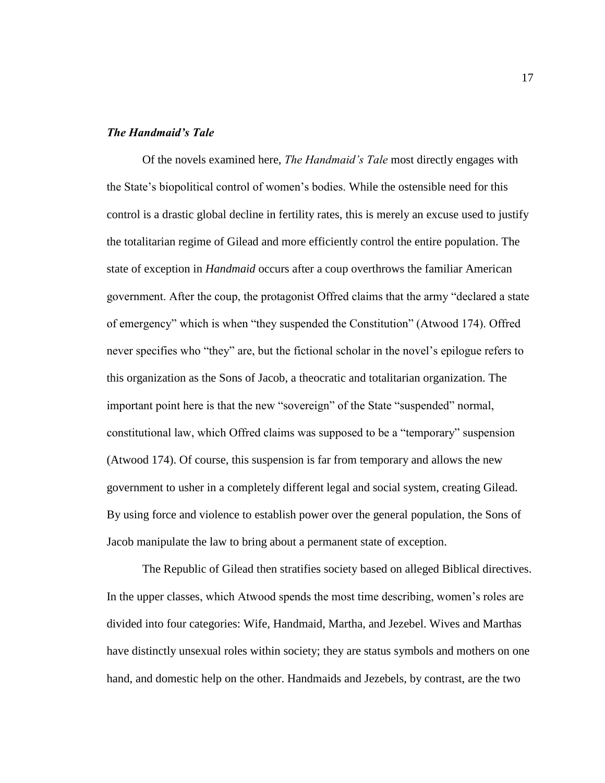# *The Handmaid's Tale*

Of the novels examined here, *The Handmaid's Tale* most directly engages with the State's biopolitical control of women's bodies. While the ostensible need for this control is a drastic global decline in fertility rates, this is merely an excuse used to justify the totalitarian regime of Gilead and more efficiently control the entire population. The state of exception in *Handmaid* occurs after a coup overthrows the familiar American government. After the coup, the protagonist Offred claims that the army "declared a state of emergency" which is when "they suspended the Constitution" (Atwood 174). Offred never specifies who "they" are, but the fictional scholar in the novel's epilogue refers to this organization as the Sons of Jacob, a theocratic and totalitarian organization. The important point here is that the new "sovereign" of the State "suspended" normal, constitutional law, which Offred claims was supposed to be a "temporary" suspension (Atwood 174). Of course, this suspension is far from temporary and allows the new government to usher in a completely different legal and social system, creating Gilead. By using force and violence to establish power over the general population, the Sons of Jacob manipulate the law to bring about a permanent state of exception.

The Republic of Gilead then stratifies society based on alleged Biblical directives. In the upper classes, which Atwood spends the most time describing, women's roles are divided into four categories: Wife, Handmaid, Martha, and Jezebel. Wives and Marthas have distinctly unsexual roles within society; they are status symbols and mothers on one hand, and domestic help on the other. Handmaids and Jezebels, by contrast, are the two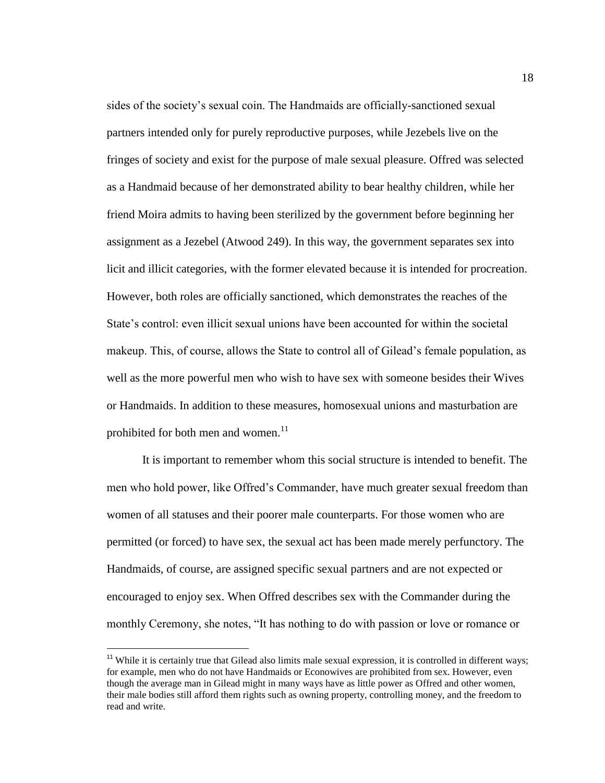sides of the society's sexual coin. The Handmaids are officially-sanctioned sexual partners intended only for purely reproductive purposes, while Jezebels live on the fringes of society and exist for the purpose of male sexual pleasure. Offred was selected as a Handmaid because of her demonstrated ability to bear healthy children, while her friend Moira admits to having been sterilized by the government before beginning her assignment as a Jezebel (Atwood 249). In this way, the government separates sex into licit and illicit categories, with the former elevated because it is intended for procreation. However, both roles are officially sanctioned, which demonstrates the reaches of the State's control: even illicit sexual unions have been accounted for within the societal makeup. This, of course, allows the State to control all of Gilead's female population, as well as the more powerful men who wish to have sex with someone besides their Wives or Handmaids. In addition to these measures, homosexual unions and masturbation are prohibited for both men and women. $11$ 

It is important to remember whom this social structure is intended to benefit. The men who hold power, like Offred's Commander, have much greater sexual freedom than women of all statuses and their poorer male counterparts. For those women who are permitted (or forced) to have sex, the sexual act has been made merely perfunctory. The Handmaids, of course, are assigned specific sexual partners and are not expected or encouraged to enjoy sex. When Offred describes sex with the Commander during the monthly Ceremony, she notes, "It has nothing to do with passion or love or romance or

 $11$ <sup>11</sup> While it is certainly true that Gilead also limits male sexual expression, it is controlled in different ways; for example, men who do not have Handmaids or Econowives are prohibited from sex. However, even though the average man in Gilead might in many ways have as little power as Offred and other women, their male bodies still afford them rights such as owning property, controlling money, and the freedom to read and write.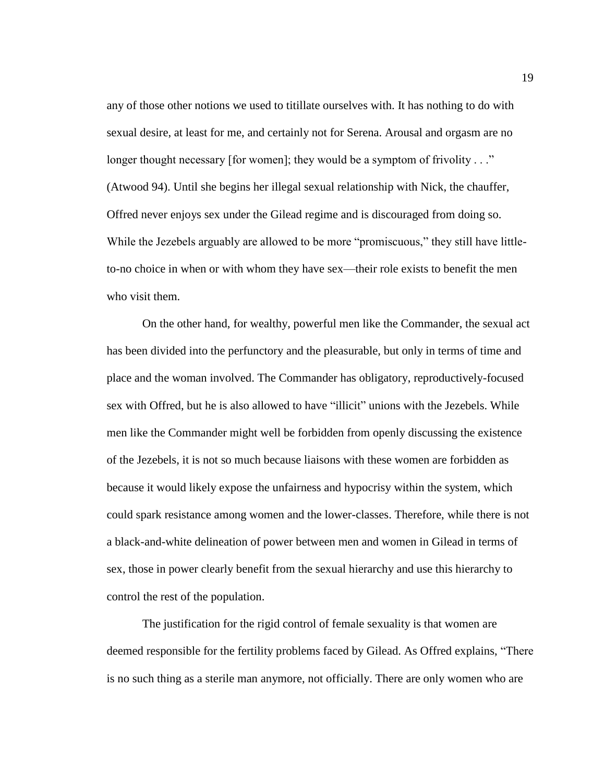any of those other notions we used to titillate ourselves with. It has nothing to do with sexual desire, at least for me, and certainly not for Serena. Arousal and orgasm are no longer thought necessary [for women]; they would be a symptom of frivolity . . ." (Atwood 94). Until she begins her illegal sexual relationship with Nick, the chauffer, Offred never enjoys sex under the Gilead regime and is discouraged from doing so. While the Jezebels arguably are allowed to be more "promiscuous," they still have littleto-no choice in when or with whom they have sex—their role exists to benefit the men who visit them.

On the other hand, for wealthy, powerful men like the Commander, the sexual act has been divided into the perfunctory and the pleasurable, but only in terms of time and place and the woman involved. The Commander has obligatory, reproductively-focused sex with Offred, but he is also allowed to have "illicit" unions with the Jezebels. While men like the Commander might well be forbidden from openly discussing the existence of the Jezebels, it is not so much because liaisons with these women are forbidden as because it would likely expose the unfairness and hypocrisy within the system, which could spark resistance among women and the lower-classes. Therefore, while there is not a black-and-white delineation of power between men and women in Gilead in terms of sex, those in power clearly benefit from the sexual hierarchy and use this hierarchy to control the rest of the population.

The justification for the rigid control of female sexuality is that women are deemed responsible for the fertility problems faced by Gilead. As Offred explains, "There is no such thing as a sterile man anymore, not officially. There are only women who are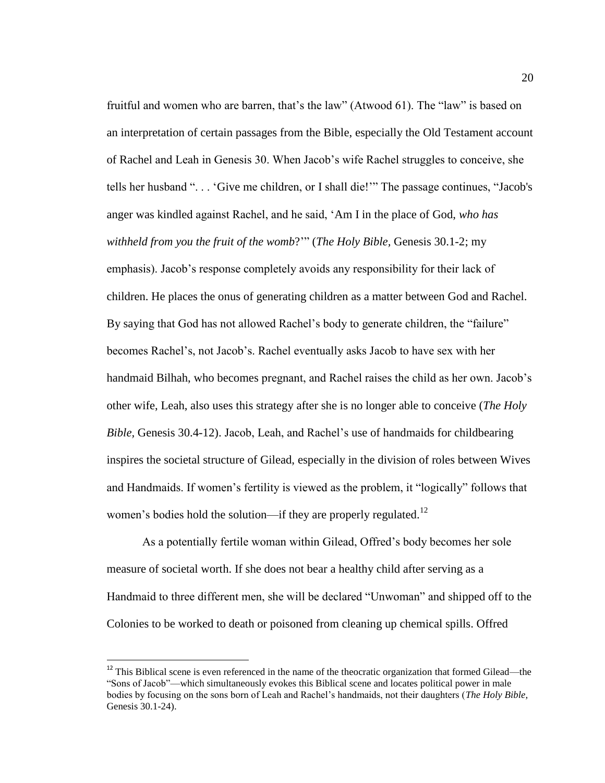fruitful and women who are barren, that's the law" (Atwood 61). The "law" is based on an interpretation of certain passages from the Bible, especially the Old Testament account of Rachel and Leah in Genesis 30. When Jacob's wife Rachel struggles to conceive, she tells her husband ". . . 'Give me children, or I shall die!'" The passage continues, "Jacob's anger was kindled against Rachel, and he said, 'Am I in the place of God, *who has withheld from you the fruit of the womb*?'" (*The Holy Bible,* Genesis 30.1-2; my emphasis). Jacob's response completely avoids any responsibility for their lack of children. He places the onus of generating children as a matter between God and Rachel. By saying that God has not allowed Rachel's body to generate children, the "failure" becomes Rachel's, not Jacob's. Rachel eventually asks Jacob to have sex with her handmaid Bilhah, who becomes pregnant, and Rachel raises the child as her own. Jacob's other wife, Leah, also uses this strategy after she is no longer able to conceive (*The Holy Bible,* Genesis 30.4-12). Jacob, Leah, and Rachel's use of handmaids for childbearing inspires the societal structure of Gilead, especially in the division of roles between Wives and Handmaids. If women's fertility is viewed as the problem, it "logically" follows that women's bodies hold the solution—if they are properly regulated.<sup>12</sup>

As a potentially fertile woman within Gilead, Offred's body becomes her sole measure of societal worth. If she does not bear a healthy child after serving as a Handmaid to three different men, she will be declared "Unwoman" and shipped off to the Colonies to be worked to death or poisoned from cleaning up chemical spills. Offred

 $12$  This Biblical scene is even referenced in the name of the theocratic organization that formed Gilead—the "Sons of Jacob"—which simultaneously evokes this Biblical scene and locates political power in male bodies by focusing on the sons born of Leah and Rachel's handmaids, not their daughters (*The Holy Bible,*  Genesis 30.1-24).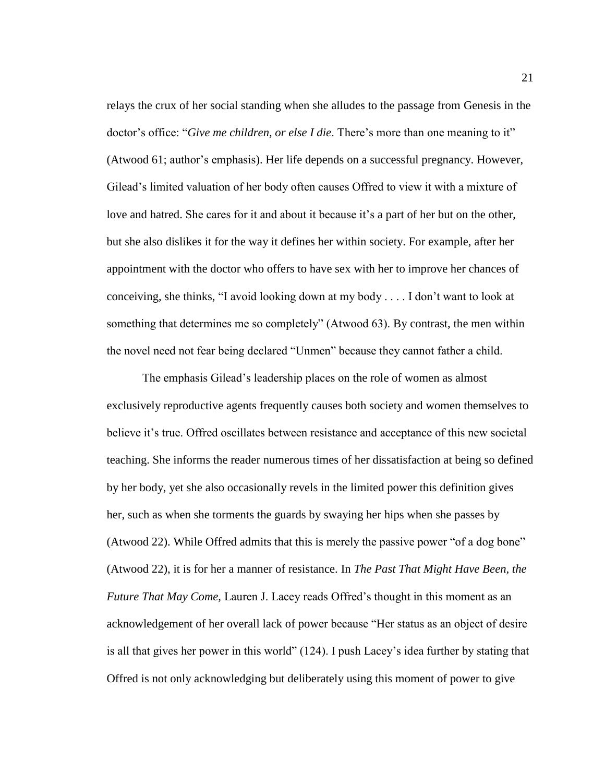relays the crux of her social standing when she alludes to the passage from Genesis in the doctor's office: "*Give me children, or else I die*. There's more than one meaning to it" (Atwood 61; author's emphasis). Her life depends on a successful pregnancy. However, Gilead's limited valuation of her body often causes Offred to view it with a mixture of love and hatred. She cares for it and about it because it's a part of her but on the other, but she also dislikes it for the way it defines her within society. For example, after her appointment with the doctor who offers to have sex with her to improve her chances of conceiving, she thinks, "I avoid looking down at my body . . . . I don't want to look at something that determines me so completely" (Atwood 63). By contrast, the men within the novel need not fear being declared "Unmen" because they cannot father a child.

The emphasis Gilead's leadership places on the role of women as almost exclusively reproductive agents frequently causes both society and women themselves to believe it's true. Offred oscillates between resistance and acceptance of this new societal teaching. She informs the reader numerous times of her dissatisfaction at being so defined by her body, yet she also occasionally revels in the limited power this definition gives her, such as when she torments the guards by swaying her hips when she passes by (Atwood 22). While Offred admits that this is merely the passive power "of a dog bone" (Atwood 22), it is for her a manner of resistance. In *The Past That Might Have Been, the Future That May Come,* Lauren J. Lacey reads Offred's thought in this moment as an acknowledgement of her overall lack of power because "Her status as an object of desire is all that gives her power in this world" (124). I push Lacey's idea further by stating that Offred is not only acknowledging but deliberately using this moment of power to give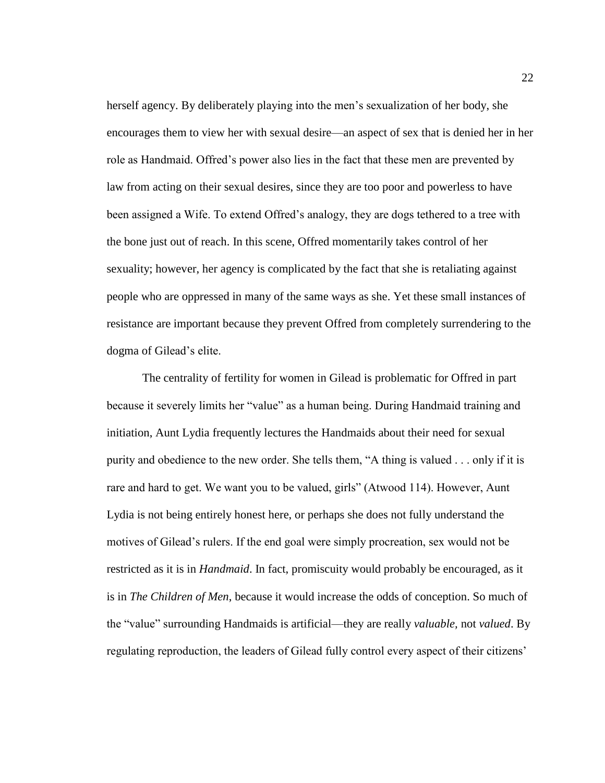herself agency. By deliberately playing into the men's sexualization of her body, she encourages them to view her with sexual desire—an aspect of sex that is denied her in her role as Handmaid. Offred's power also lies in the fact that these men are prevented by law from acting on their sexual desires, since they are too poor and powerless to have been assigned a Wife. To extend Offred's analogy, they are dogs tethered to a tree with the bone just out of reach. In this scene, Offred momentarily takes control of her sexuality; however, her agency is complicated by the fact that she is retaliating against people who are oppressed in many of the same ways as she. Yet these small instances of resistance are important because they prevent Offred from completely surrendering to the dogma of Gilead's elite.

The centrality of fertility for women in Gilead is problematic for Offred in part because it severely limits her "value" as a human being. During Handmaid training and initiation, Aunt Lydia frequently lectures the Handmaids about their need for sexual purity and obedience to the new order. She tells them, "A thing is valued . . . only if it is rare and hard to get. We want you to be valued, girls" (Atwood 114). However, Aunt Lydia is not being entirely honest here, or perhaps she does not fully understand the motives of Gilead's rulers. If the end goal were simply procreation, sex would not be restricted as it is in *Handmaid*. In fact, promiscuity would probably be encouraged, as it is in *The Children of Men*, because it would increase the odds of conception. So much of the "value" surrounding Handmaids is artificial—they are really *valuable,* not *valued*. By regulating reproduction, the leaders of Gilead fully control every aspect of their citizens'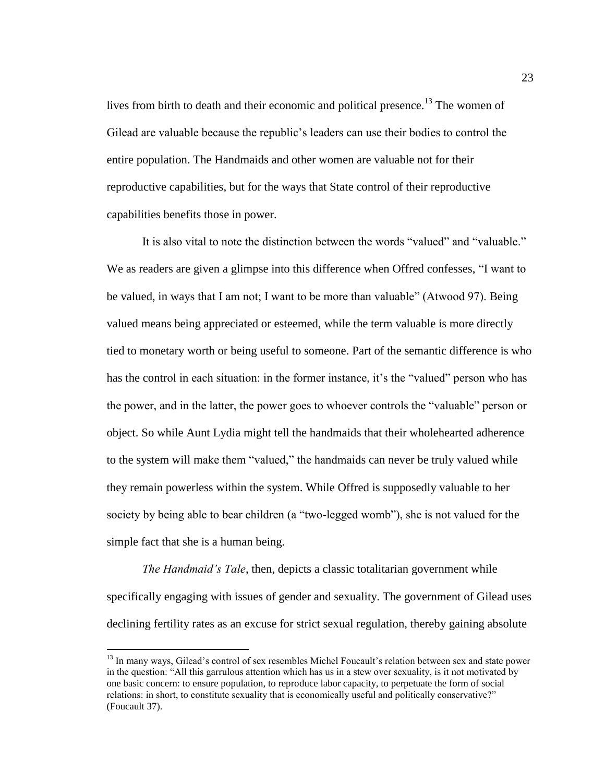lives from birth to death and their economic and political presence.<sup>13</sup> The women of Gilead are valuable because the republic's leaders can use their bodies to control the entire population. The Handmaids and other women are valuable not for their reproductive capabilities, but for the ways that State control of their reproductive capabilities benefits those in power.

It is also vital to note the distinction between the words "valued" and "valuable." We as readers are given a glimpse into this difference when Offred confesses, "I want to be valued, in ways that I am not; I want to be more than valuable" (Atwood 97). Being valued means being appreciated or esteemed, while the term valuable is more directly tied to monetary worth or being useful to someone. Part of the semantic difference is who has the control in each situation: in the former instance, it's the "valued" person who has the power, and in the latter, the power goes to whoever controls the "valuable" person or object. So while Aunt Lydia might tell the handmaids that their wholehearted adherence to the system will make them "valued," the handmaids can never be truly valued while they remain powerless within the system. While Offred is supposedly valuable to her society by being able to bear children (a "two-legged womb"), she is not valued for the simple fact that she is a human being.

*The Handmaid's Tale*, then, depicts a classic totalitarian government while specifically engaging with issues of gender and sexuality. The government of Gilead uses declining fertility rates as an excuse for strict sexual regulation, thereby gaining absolute

<sup>&</sup>lt;sup>13</sup> In many ways, Gilead's control of sex resembles Michel Foucault's relation between sex and state power in the question: "All this garrulous attention which has us in a stew over sexuality, is it not motivated by one basic concern: to ensure population, to reproduce labor capacity, to perpetuate the form of social relations: in short, to constitute sexuality that is economically useful and politically conservative?" (Foucault 37).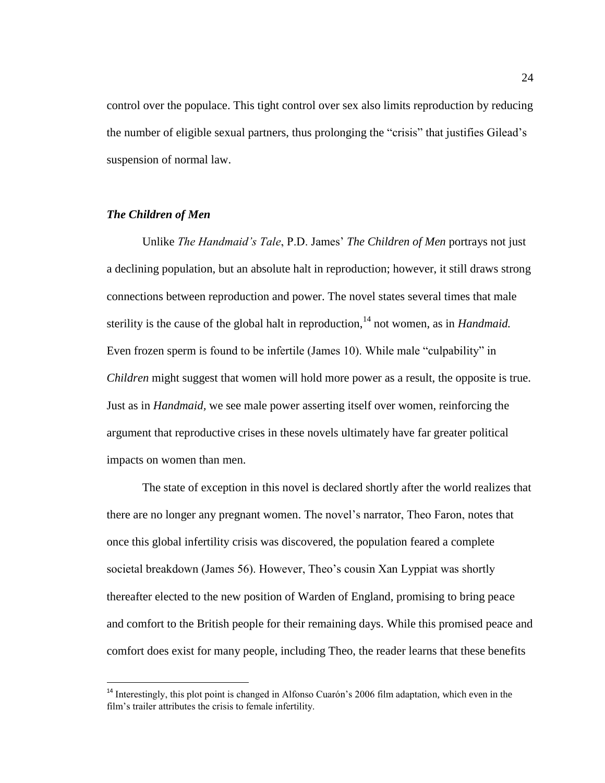control over the populace. This tight control over sex also limits reproduction by reducing the number of eligible sexual partners, thus prolonging the "crisis" that justifies Gilead's suspension of normal law.

# *The Children of Men*

 $\overline{a}$ 

Unlike *The Handmaid's Tale*, P.D. James' *The Children of Men* portrays not just a declining population, but an absolute halt in reproduction; however, it still draws strong connections between reproduction and power. The novel states several times that male sterility is the cause of the global halt in reproduction,<sup>14</sup> not women, as in *Handmaid*. Even frozen sperm is found to be infertile (James 10). While male "culpability" in *Children* might suggest that women will hold more power as a result, the opposite is true. Just as in *Handmaid,* we see male power asserting itself over women, reinforcing the argument that reproductive crises in these novels ultimately have far greater political impacts on women than men.

The state of exception in this novel is declared shortly after the world realizes that there are no longer any pregnant women. The novel's narrator, Theo Faron, notes that once this global infertility crisis was discovered, the population feared a complete societal breakdown (James 56). However, Theo's cousin Xan Lyppiat was shortly thereafter elected to the new position of Warden of England, promising to bring peace and comfort to the British people for their remaining days. While this promised peace and comfort does exist for many people, including Theo, the reader learns that these benefits

<sup>&</sup>lt;sup>14</sup> Interestingly, this plot point is changed in Alfonso Cuarón's 2006 film adaptation, which even in the film's trailer attributes the crisis to female infertility.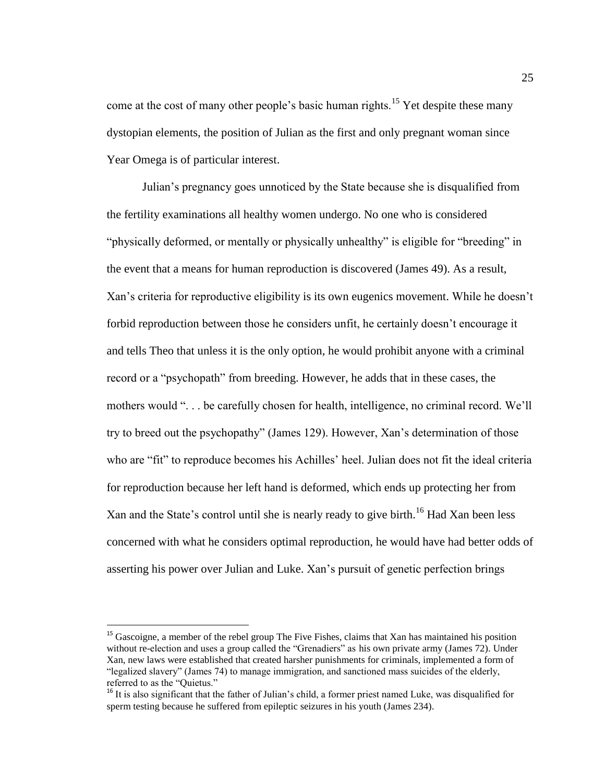come at the cost of many other people's basic human rights.<sup>15</sup> Yet despite these many dystopian elements, the position of Julian as the first and only pregnant woman since Year Omega is of particular interest.

Julian's pregnancy goes unnoticed by the State because she is disqualified from the fertility examinations all healthy women undergo. No one who is considered "physically deformed, or mentally or physically unhealthy" is eligible for "breeding" in the event that a means for human reproduction is discovered (James 49). As a result, Xan's criteria for reproductive eligibility is its own eugenics movement. While he doesn't forbid reproduction between those he considers unfit, he certainly doesn't encourage it and tells Theo that unless it is the only option, he would prohibit anyone with a criminal record or a "psychopath" from breeding. However, he adds that in these cases, the mothers would ". . . be carefully chosen for health, intelligence, no criminal record. We'll try to breed out the psychopathy" (James 129). However, Xan's determination of those who are "fit" to reproduce becomes his Achilles' heel. Julian does not fit the ideal criteria for reproduction because her left hand is deformed, which ends up protecting her from Xan and the State's control until she is nearly ready to give birth.<sup>16</sup> Had Xan been less concerned with what he considers optimal reproduction, he would have had better odds of asserting his power over Julian and Luke. Xan's pursuit of genetic perfection brings

<sup>&</sup>lt;sup>15</sup> Gascoigne, a member of the rebel group The Five Fishes, claims that Xan has maintained his position without re-election and uses a group called the "Grenadiers" as his own private army (James 72). Under Xan, new laws were established that created harsher punishments for criminals, implemented a form of "legalized slavery" (James 74) to manage immigration, and sanctioned mass suicides of the elderly, referred to as the "Quietus."

 $16$  It is also significant that the father of Julian's child, a former priest named Luke, was disqualified for sperm testing because he suffered from epileptic seizures in his youth (James 234).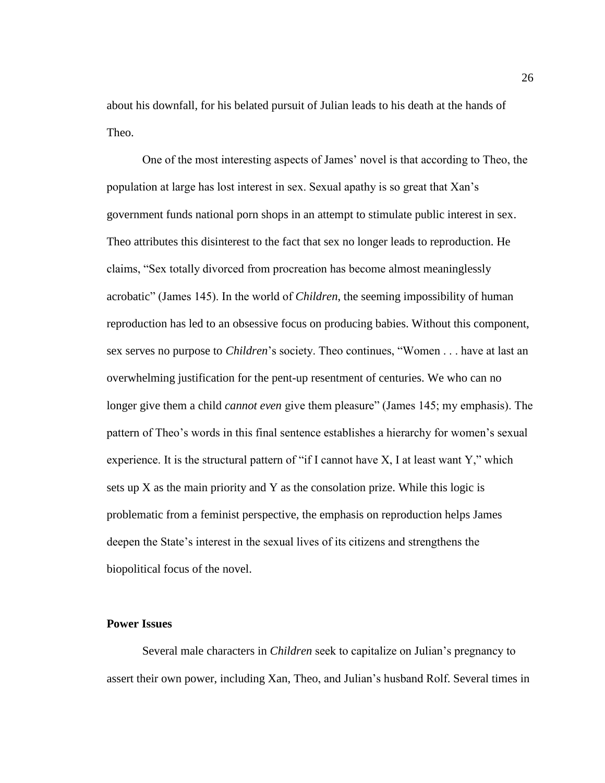about his downfall, for his belated pursuit of Julian leads to his death at the hands of Theo.

One of the most interesting aspects of James' novel is that according to Theo, the population at large has lost interest in sex. Sexual apathy is so great that Xan's government funds national porn shops in an attempt to stimulate public interest in sex. Theo attributes this disinterest to the fact that sex no longer leads to reproduction. He claims, "Sex totally divorced from procreation has become almost meaninglessly acrobatic" (James 145). In the world of *Children*, the seeming impossibility of human reproduction has led to an obsessive focus on producing babies. Without this component, sex serves no purpose to *Children*'s society. Theo continues, "Women . . . have at last an overwhelming justification for the pent-up resentment of centuries. We who can no longer give them a child *cannot even* give them pleasure" (James 145; my emphasis). The pattern of Theo's words in this final sentence establishes a hierarchy for women's sexual experience. It is the structural pattern of "if I cannot have  $X$ , I at least want  $Y$ ," which sets up  $X$  as the main priority and  $Y$  as the consolation prize. While this logic is problematic from a feminist perspective, the emphasis on reproduction helps James deepen the State's interest in the sexual lives of its citizens and strengthens the biopolitical focus of the novel.

## **Power Issues**

Several male characters in *Children* seek to capitalize on Julian's pregnancy to assert their own power, including Xan, Theo, and Julian's husband Rolf. Several times in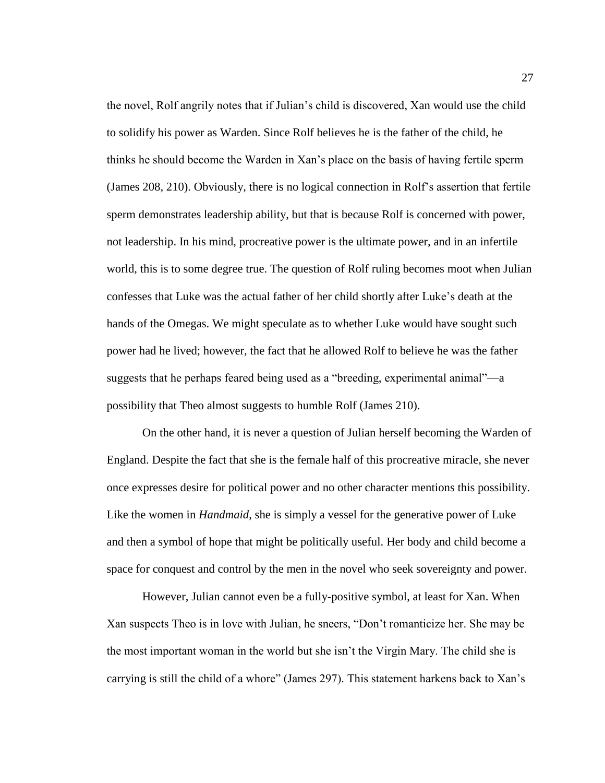the novel, Rolf angrily notes that if Julian's child is discovered, Xan would use the child to solidify his power as Warden. Since Rolf believes he is the father of the child, he thinks he should become the Warden in Xan's place on the basis of having fertile sperm (James 208, 210). Obviously, there is no logical connection in Rolf's assertion that fertile sperm demonstrates leadership ability, but that is because Rolf is concerned with power, not leadership. In his mind, procreative power is the ultimate power, and in an infertile world, this is to some degree true. The question of Rolf ruling becomes moot when Julian confesses that Luke was the actual father of her child shortly after Luke's death at the hands of the Omegas. We might speculate as to whether Luke would have sought such power had he lived; however, the fact that he allowed Rolf to believe he was the father suggests that he perhaps feared being used as a "breeding, experimental animal"—a possibility that Theo almost suggests to humble Rolf (James 210).

On the other hand, it is never a question of Julian herself becoming the Warden of England. Despite the fact that she is the female half of this procreative miracle, she never once expresses desire for political power and no other character mentions this possibility. Like the women in *Handmaid*, she is simply a vessel for the generative power of Luke and then a symbol of hope that might be politically useful. Her body and child become a space for conquest and control by the men in the novel who seek sovereignty and power.

However, Julian cannot even be a fully-positive symbol, at least for Xan. When Xan suspects Theo is in love with Julian, he sneers, "Don't romanticize her. She may be the most important woman in the world but she isn't the Virgin Mary. The child she is carrying is still the child of a whore" (James 297). This statement harkens back to Xan's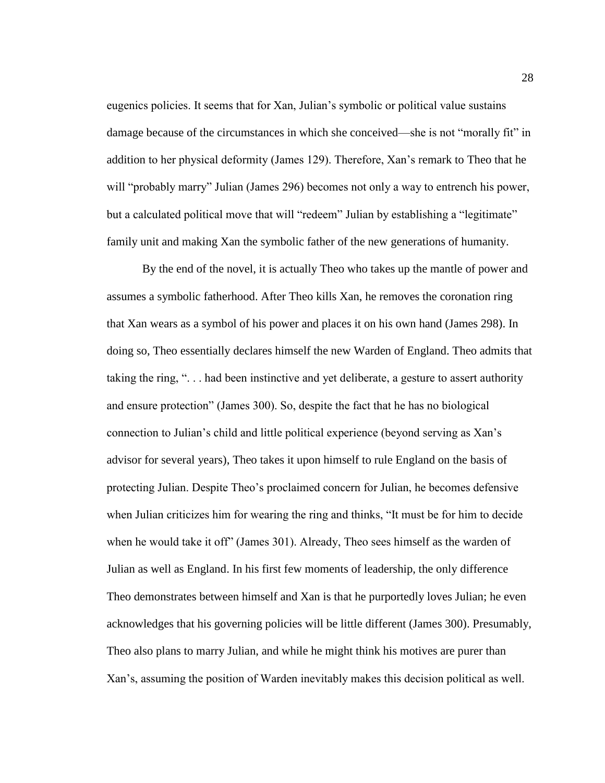eugenics policies. It seems that for Xan, Julian's symbolic or political value sustains damage because of the circumstances in which she conceived—she is not "morally fit" in addition to her physical deformity (James 129). Therefore, Xan's remark to Theo that he will "probably marry" Julian (James 296) becomes not only a way to entrench his power, but a calculated political move that will "redeem" Julian by establishing a "legitimate" family unit and making Xan the symbolic father of the new generations of humanity.

By the end of the novel, it is actually Theo who takes up the mantle of power and assumes a symbolic fatherhood. After Theo kills Xan, he removes the coronation ring that Xan wears as a symbol of his power and places it on his own hand (James 298). In doing so, Theo essentially declares himself the new Warden of England. Theo admits that taking the ring, ". . . had been instinctive and yet deliberate, a gesture to assert authority and ensure protection" (James 300). So, despite the fact that he has no biological connection to Julian's child and little political experience (beyond serving as Xan's advisor for several years), Theo takes it upon himself to rule England on the basis of protecting Julian. Despite Theo's proclaimed concern for Julian, he becomes defensive when Julian criticizes him for wearing the ring and thinks, "It must be for him to decide when he would take it off" (James 301). Already, Theo sees himself as the warden of Julian as well as England. In his first few moments of leadership, the only difference Theo demonstrates between himself and Xan is that he purportedly loves Julian; he even acknowledges that his governing policies will be little different (James 300). Presumably, Theo also plans to marry Julian, and while he might think his motives are purer than Xan's, assuming the position of Warden inevitably makes this decision political as well.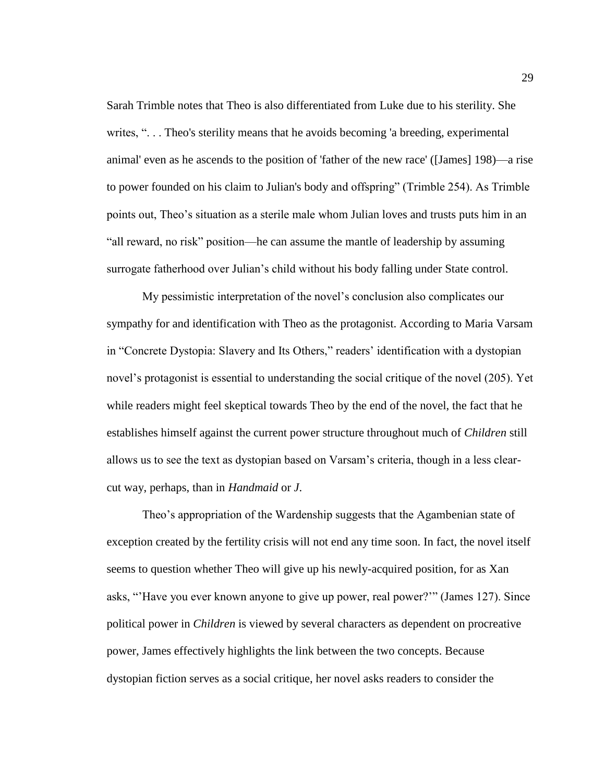Sarah Trimble notes that Theo is also differentiated from Luke due to his sterility. She writes, "... Theo's sterility means that he avoids becoming 'a breeding, experimental animal' even as he ascends to the position of 'father of the new race' ([James] 198)—a rise to power founded on his claim to Julian's body and offspring" (Trimble 254). As Trimble points out, Theo's situation as a sterile male whom Julian loves and trusts puts him in an "all reward, no risk" position—he can assume the mantle of leadership by assuming surrogate fatherhood over Julian's child without his body falling under State control.

My pessimistic interpretation of the novel's conclusion also complicates our sympathy for and identification with Theo as the protagonist. According to Maria Varsam in "Concrete Dystopia: Slavery and Its Others," readers' identification with a dystopian novel's protagonist is essential to understanding the social critique of the novel (205). Yet while readers might feel skeptical towards Theo by the end of the novel, the fact that he establishes himself against the current power structure throughout much of *Children* still allows us to see the text as dystopian based on Varsam's criteria, though in a less clearcut way, perhaps, than in *Handmaid* or *J*.

Theo's appropriation of the Wardenship suggests that the Agambenian state of exception created by the fertility crisis will not end any time soon. In fact, the novel itself seems to question whether Theo will give up his newly-acquired position, for as Xan asks, "'Have you ever known anyone to give up power, real power?'" (James 127). Since political power in *Children* is viewed by several characters as dependent on procreative power, James effectively highlights the link between the two concepts. Because dystopian fiction serves as a social critique, her novel asks readers to consider the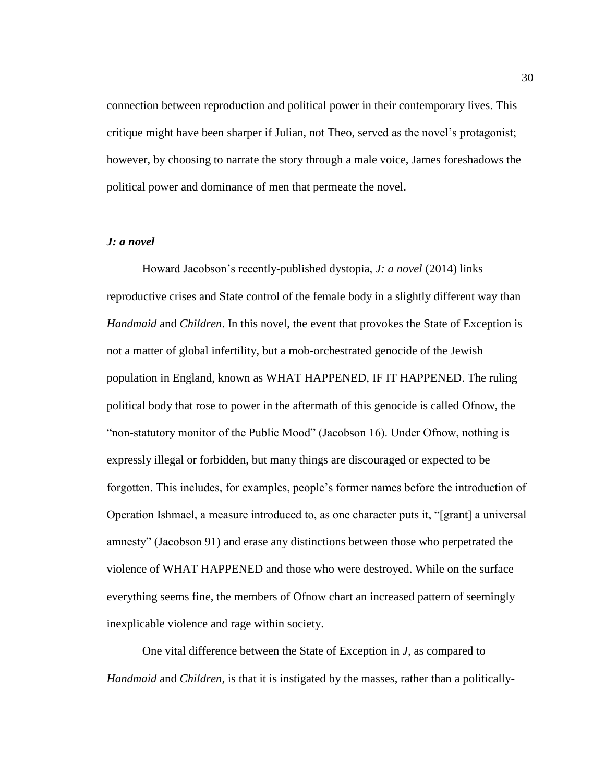connection between reproduction and political power in their contemporary lives. This critique might have been sharper if Julian, not Theo, served as the novel's protagonist; however, by choosing to narrate the story through a male voice, James foreshadows the political power and dominance of men that permeate the novel.

## *J: a novel*

Howard Jacobson's recently-published dystopia, *J: a novel* (2014) links reproductive crises and State control of the female body in a slightly different way than *Handmaid* and *Children*. In this novel, the event that provokes the State of Exception is not a matter of global infertility, but a mob-orchestrated genocide of the Jewish population in England, known as WHAT HAPPENED, IF IT HAPPENED. The ruling political body that rose to power in the aftermath of this genocide is called Ofnow, the "non-statutory monitor of the Public Mood" (Jacobson 16). Under Ofnow, nothing is expressly illegal or forbidden, but many things are discouraged or expected to be forgotten. This includes, for examples, people's former names before the introduction of Operation Ishmael, a measure introduced to, as one character puts it, "[grant] a universal amnesty" (Jacobson 91) and erase any distinctions between those who perpetrated the violence of WHAT HAPPENED and those who were destroyed. While on the surface everything seems fine, the members of Ofnow chart an increased pattern of seemingly inexplicable violence and rage within society.

One vital difference between the State of Exception in *J,* as compared to *Handmaid* and *Children,* is that it is instigated by the masses, rather than a politically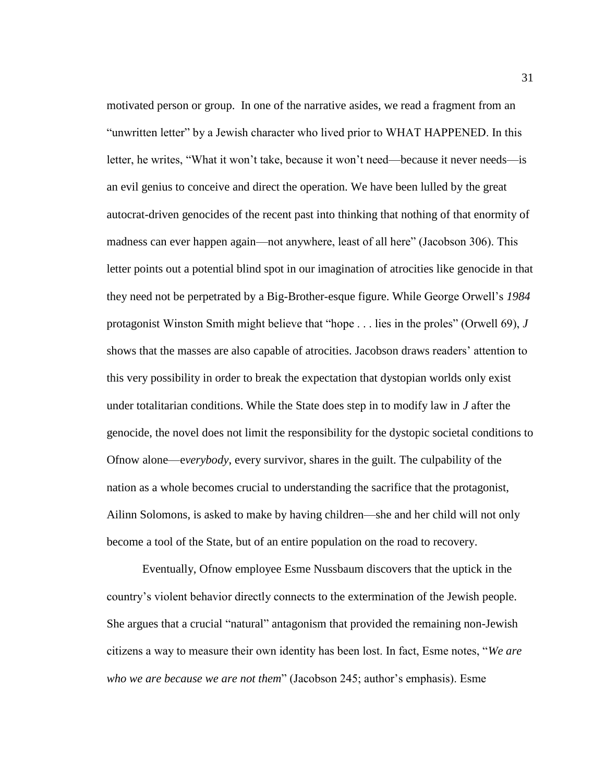motivated person or group. In one of the narrative asides, we read a fragment from an "unwritten letter" by a Jewish character who lived prior to WHAT HAPPENED. In this letter, he writes, "What it won't take, because it won't need—because it never needs—is an evil genius to conceive and direct the operation. We have been lulled by the great autocrat-driven genocides of the recent past into thinking that nothing of that enormity of madness can ever happen again—not anywhere, least of all here" (Jacobson 306). This letter points out a potential blind spot in our imagination of atrocities like genocide in that they need not be perpetrated by a Big-Brother-esque figure. While George Orwell's *1984*  protagonist Winston Smith might believe that "hope . . . lies in the proles" (Orwell 69), *J*  shows that the masses are also capable of atrocities. Jacobson draws readers' attention to this very possibility in order to break the expectation that dystopian worlds only exist under totalitarian conditions. While the State does step in to modify law in *J* after the genocide, the novel does not limit the responsibility for the dystopic societal conditions to Ofnow alone—e*verybody*, every survivor, shares in the guilt. The culpability of the nation as a whole becomes crucial to understanding the sacrifice that the protagonist, Ailinn Solomons, is asked to make by having children—she and her child will not only become a tool of the State, but of an entire population on the road to recovery.

Eventually, Ofnow employee Esme Nussbaum discovers that the uptick in the country's violent behavior directly connects to the extermination of the Jewish people. She argues that a crucial "natural" antagonism that provided the remaining non-Jewish citizens a way to measure their own identity has been lost. In fact, Esme notes, "*We are who we are because we are not them*" (Jacobson 245; author's emphasis). Esme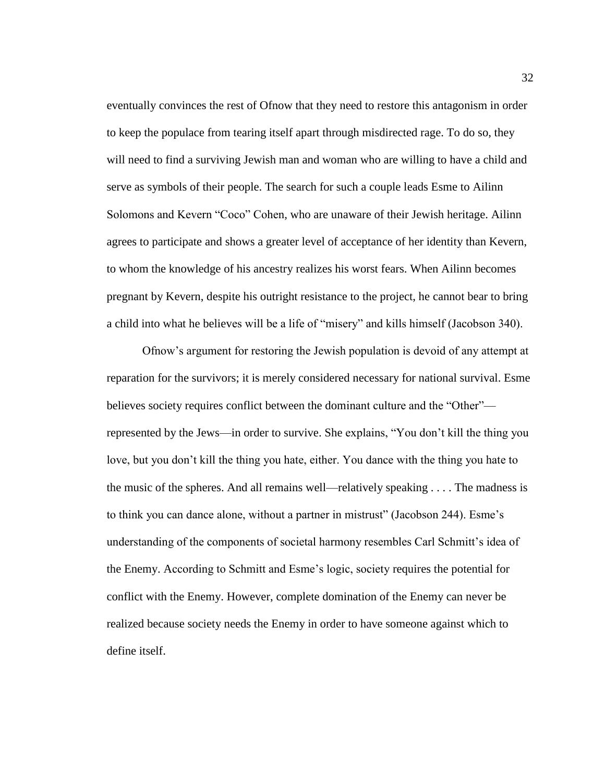eventually convinces the rest of Ofnow that they need to restore this antagonism in order to keep the populace from tearing itself apart through misdirected rage. To do so, they will need to find a surviving Jewish man and woman who are willing to have a child and serve as symbols of their people. The search for such a couple leads Esme to Ailinn Solomons and Kevern "Coco" Cohen, who are unaware of their Jewish heritage. Ailinn agrees to participate and shows a greater level of acceptance of her identity than Kevern, to whom the knowledge of his ancestry realizes his worst fears. When Ailinn becomes pregnant by Kevern, despite his outright resistance to the project, he cannot bear to bring a child into what he believes will be a life of "misery" and kills himself (Jacobson 340).

Ofnow's argument for restoring the Jewish population is devoid of any attempt at reparation for the survivors; it is merely considered necessary for national survival. Esme believes society requires conflict between the dominant culture and the "Other" represented by the Jews—in order to survive. She explains, "You don't kill the thing you love, but you don't kill the thing you hate, either. You dance with the thing you hate to the music of the spheres. And all remains well—relatively speaking . . . . The madness is to think you can dance alone, without a partner in mistrust" (Jacobson 244). Esme's understanding of the components of societal harmony resembles Carl Schmitt's idea of the Enemy. According to Schmitt and Esme's logic, society requires the potential for conflict with the Enemy. However, complete domination of the Enemy can never be realized because society needs the Enemy in order to have someone against which to define itself.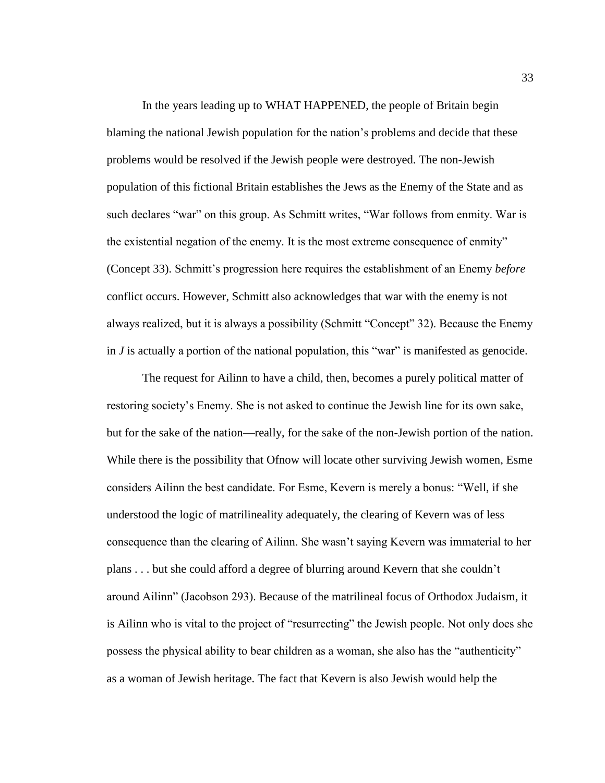In the years leading up to WHAT HAPPENED, the people of Britain begin blaming the national Jewish population for the nation's problems and decide that these problems would be resolved if the Jewish people were destroyed. The non-Jewish population of this fictional Britain establishes the Jews as the Enemy of the State and as such declares "war" on this group. As Schmitt writes, "War follows from enmity. War is the existential negation of the enemy. It is the most extreme consequence of enmity" (Concept 33). Schmitt's progression here requires the establishment of an Enemy *before* conflict occurs. However, Schmitt also acknowledges that war with the enemy is not always realized, but it is always a possibility (Schmitt "Concept" 32). Because the Enemy in *J* is actually a portion of the national population, this "war" is manifested as genocide.

The request for Ailinn to have a child, then, becomes a purely political matter of restoring society's Enemy. She is not asked to continue the Jewish line for its own sake, but for the sake of the nation—really, for the sake of the non-Jewish portion of the nation. While there is the possibility that Ofnow will locate other surviving Jewish women, Esme considers Ailinn the best candidate. For Esme, Kevern is merely a bonus: "Well, if she understood the logic of matrilineality adequately, the clearing of Kevern was of less consequence than the clearing of Ailinn. She wasn't saying Kevern was immaterial to her plans . . . but she could afford a degree of blurring around Kevern that she couldn't around Ailinn" (Jacobson 293). Because of the matrilineal focus of Orthodox Judaism, it is Ailinn who is vital to the project of "resurrecting" the Jewish people. Not only does she possess the physical ability to bear children as a woman, she also has the "authenticity" as a woman of Jewish heritage. The fact that Kevern is also Jewish would help the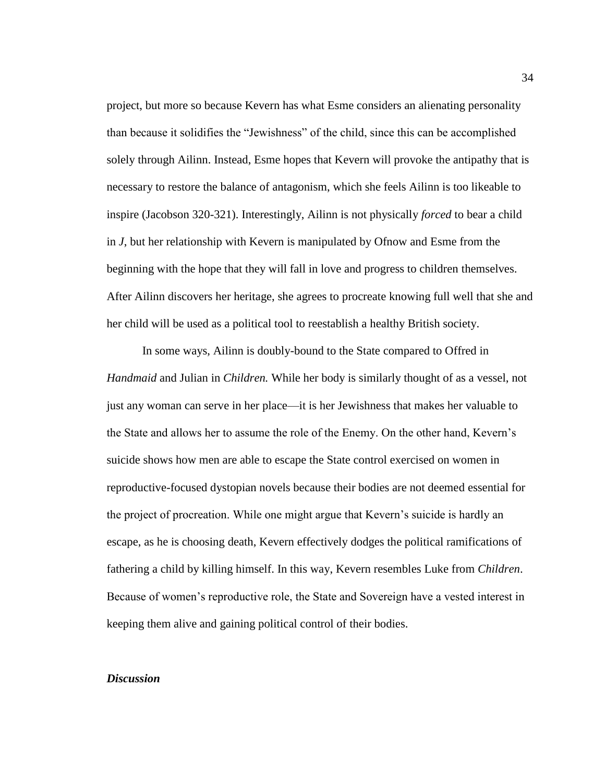project, but more so because Kevern has what Esme considers an alienating personality than because it solidifies the "Jewishness" of the child, since this can be accomplished solely through Ailinn. Instead, Esme hopes that Kevern will provoke the antipathy that is necessary to restore the balance of antagonism, which she feels Ailinn is too likeable to inspire (Jacobson 320-321). Interestingly, Ailinn is not physically *forced* to bear a child in *J*, but her relationship with Kevern is manipulated by Ofnow and Esme from the beginning with the hope that they will fall in love and progress to children themselves. After Ailinn discovers her heritage, she agrees to procreate knowing full well that she and her child will be used as a political tool to reestablish a healthy British society.

In some ways, Ailinn is doubly-bound to the State compared to Offred in *Handmaid* and Julian in *Children.* While her body is similarly thought of as a vessel, not just any woman can serve in her place—it is her Jewishness that makes her valuable to the State and allows her to assume the role of the Enemy. On the other hand, Kevern's suicide shows how men are able to escape the State control exercised on women in reproductive-focused dystopian novels because their bodies are not deemed essential for the project of procreation. While one might argue that Kevern's suicide is hardly an escape, as he is choosing death, Kevern effectively dodges the political ramifications of fathering a child by killing himself. In this way, Kevern resembles Luke from *Children*. Because of women's reproductive role, the State and Sovereign have a vested interest in keeping them alive and gaining political control of their bodies.

#### *Discussion*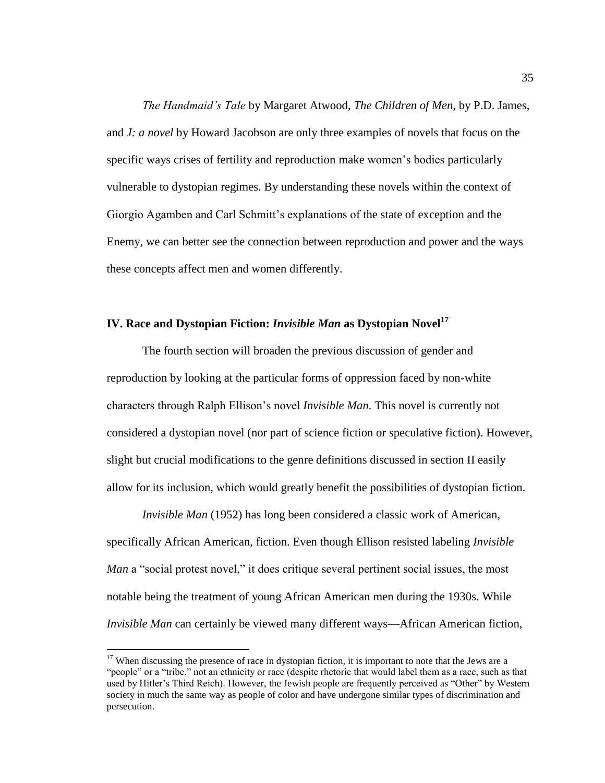*The Handmaid's Tale* by Margaret Atwood, *The Children of Men*, by P.D. James, and *J: a novel* by Howard Jacobson are only three examples of novels that focus on the specific ways crises of fertility and reproduction make women's bodies particularly vulnerable to dystopian regimes. By understanding these novels within the context of Giorgio Agamben and Carl Schmitt's explanations of the state of exception and the Enemy, we can better see the connection between reproduction and power and the ways these concepts affect men and women differently.

# **IV. Race and Dystopian Fiction:** *Invisible Man* **as Dystopian Novel<sup>17</sup>**

The fourth section will broaden the previous discussion of gender and reproduction by looking at the particular forms of oppression faced by non-white characters through Ralph Ellison's novel *Invisible Man*. This novel is currently not considered a dystopian novel (nor part of science fiction or speculative fiction). However, slight but crucial modifications to the genre definitions discussed in section II easily allow for its inclusion, which would greatly benefit the possibilities of dystopian fiction.

*Invisible Man* (1952) has long been considered a classic work of American, specifically African American, fiction. Even though Ellison resisted labeling *Invisible Man a* "social protest novel," it does critique several pertinent social issues, the most notable being the treatment of young African American men during the 1930s. While *Invisible Man* can certainly be viewed many different ways—African American fiction,

 $17$  When discussing the presence of race in dystopian fiction, it is important to note that the Jews are a "people" or a "tribe," not an ethnicity or race (despite rhetoric that would label them as a race, such as that used by Hitler's Third Reich). However, the Jewish people are frequently perceived as "Other" by Western society in much the same way as people of color and have undergone similar types of discrimination and persecution.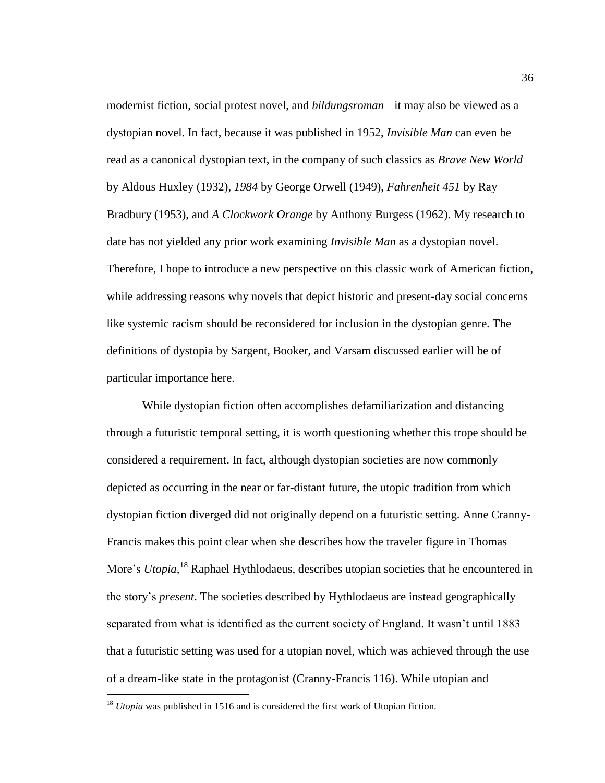modernist fiction, social protest novel, and *bildungsroman—*it may also be viewed as a dystopian novel. In fact, because it was published in 1952, *Invisible Man* can even be read as a canonical dystopian text, in the company of such classics as *Brave New World* by Aldous Huxley (1932), *1984* by George Orwell (1949), *Fahrenheit 451* by Ray Bradbury (1953), and *A Clockwork Orange* by Anthony Burgess (1962). My research to date has not yielded any prior work examining *Invisible Man* as a dystopian novel. Therefore, I hope to introduce a new perspective on this classic work of American fiction, while addressing reasons why novels that depict historic and present-day social concerns like systemic racism should be reconsidered for inclusion in the dystopian genre. The definitions of dystopia by Sargent, Booker, and Varsam discussed earlier will be of particular importance here.

While dystopian fiction often accomplishes defamiliarization and distancing through a futuristic temporal setting, it is worth questioning whether this trope should be considered a requirement. In fact, although dystopian societies are now commonly depicted as occurring in the near or far-distant future, the utopic tradition from which dystopian fiction diverged did not originally depend on a futuristic setting. Anne Cranny-Francis makes this point clear when she describes how the traveler figure in Thomas More's *Utopia*,<sup>18</sup> Raphael Hythlodaeus, describes utopian societies that he encountered in the story's *present*. The societies described by Hythlodaeus are instead geographically separated from what is identified as the current society of England. It wasn't until 1883 that a futuristic setting was used for a utopian novel, which was achieved through the use of a dream-like state in the protagonist (Cranny-Francis 116). While utopian and

<sup>&</sup>lt;sup>18</sup> *Utopia* was published in 1516 and is considered the first work of Utopian fiction.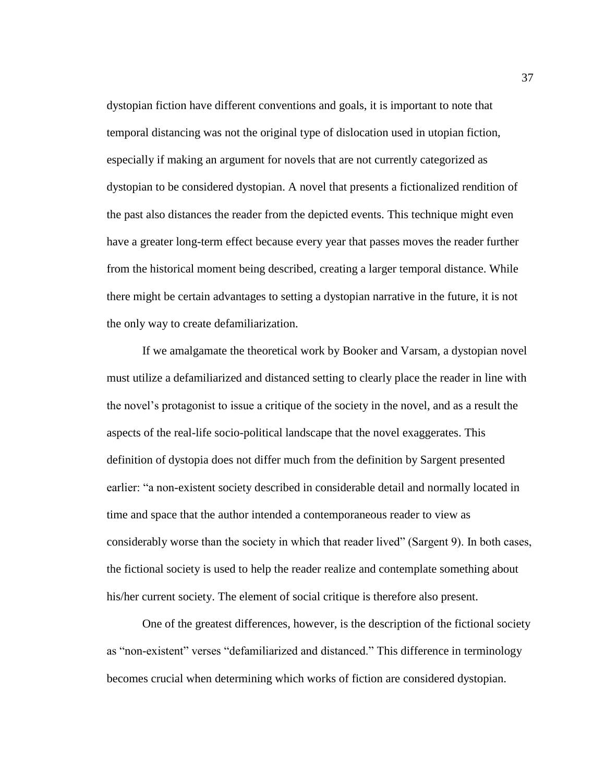dystopian fiction have different conventions and goals, it is important to note that temporal distancing was not the original type of dislocation used in utopian fiction, especially if making an argument for novels that are not currently categorized as dystopian to be considered dystopian. A novel that presents a fictionalized rendition of the past also distances the reader from the depicted events. This technique might even have a greater long-term effect because every year that passes moves the reader further from the historical moment being described, creating a larger temporal distance. While there might be certain advantages to setting a dystopian narrative in the future, it is not the only way to create defamiliarization.

If we amalgamate the theoretical work by Booker and Varsam, a dystopian novel must utilize a defamiliarized and distanced setting to clearly place the reader in line with the novel's protagonist to issue a critique of the society in the novel, and as a result the aspects of the real-life socio-political landscape that the novel exaggerates. This definition of dystopia does not differ much from the definition by Sargent presented earlier: "a non-existent society described in considerable detail and normally located in time and space that the author intended a contemporaneous reader to view as considerably worse than the society in which that reader lived" (Sargent 9). In both cases, the fictional society is used to help the reader realize and contemplate something about his/her current society. The element of social critique is therefore also present.

One of the greatest differences, however, is the description of the fictional society as "non-existent" verses "defamiliarized and distanced." This difference in terminology becomes crucial when determining which works of fiction are considered dystopian.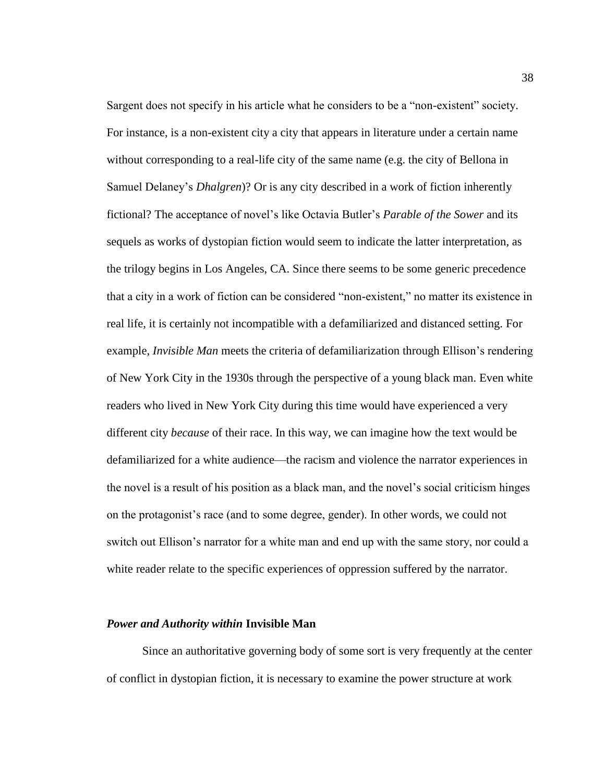Sargent does not specify in his article what he considers to be a "non-existent" society. For instance, is a non-existent city a city that appears in literature under a certain name without corresponding to a real-life city of the same name (e.g. the city of Bellona in Samuel Delaney's *Dhalgren*)? Or is any city described in a work of fiction inherently fictional? The acceptance of novel's like Octavia Butler's *Parable of the Sower* and its sequels as works of dystopian fiction would seem to indicate the latter interpretation, as the trilogy begins in Los Angeles, CA. Since there seems to be some generic precedence that a city in a work of fiction can be considered "non-existent," no matter its existence in real life, it is certainly not incompatible with a defamiliarized and distanced setting. For example, *Invisible Man* meets the criteria of defamiliarization through Ellison's rendering of New York City in the 1930s through the perspective of a young black man. Even white readers who lived in New York City during this time would have experienced a very different city *because* of their race. In this way, we can imagine how the text would be defamiliarized for a white audience—the racism and violence the narrator experiences in the novel is a result of his position as a black man, and the novel's social criticism hinges on the protagonist's race (and to some degree, gender). In other words, we could not switch out Ellison's narrator for a white man and end up with the same story, nor could a white reader relate to the specific experiences of oppression suffered by the narrator.

#### *Power and Authority within* **Invisible Man**

Since an authoritative governing body of some sort is very frequently at the center of conflict in dystopian fiction, it is necessary to examine the power structure at work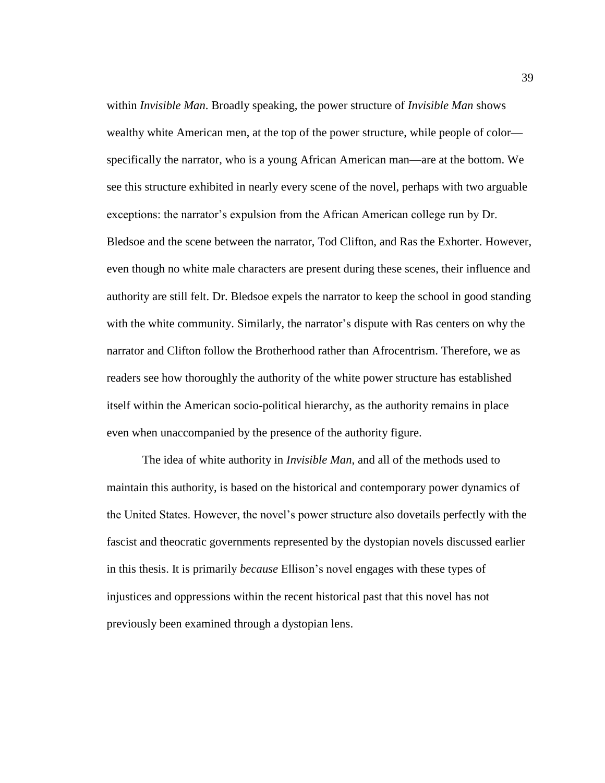within *Invisible Man*. Broadly speaking, the power structure of *Invisible Man* shows wealthy white American men, at the top of the power structure, while people of color specifically the narrator, who is a young African American man—are at the bottom. We see this structure exhibited in nearly every scene of the novel, perhaps with two arguable exceptions: the narrator's expulsion from the African American college run by Dr. Bledsoe and the scene between the narrator, Tod Clifton, and Ras the Exhorter. However, even though no white male characters are present during these scenes, their influence and authority are still felt. Dr. Bledsoe expels the narrator to keep the school in good standing with the white community. Similarly, the narrator's dispute with Ras centers on why the narrator and Clifton follow the Brotherhood rather than Afrocentrism. Therefore, we as readers see how thoroughly the authority of the white power structure has established itself within the American socio-political hierarchy, as the authority remains in place even when unaccompanied by the presence of the authority figure.

The idea of white authority in *Invisible Man*, and all of the methods used to maintain this authority, is based on the historical and contemporary power dynamics of the United States. However, the novel's power structure also dovetails perfectly with the fascist and theocratic governments represented by the dystopian novels discussed earlier in this thesis. It is primarily *because* Ellison's novel engages with these types of injustices and oppressions within the recent historical past that this novel has not previously been examined through a dystopian lens.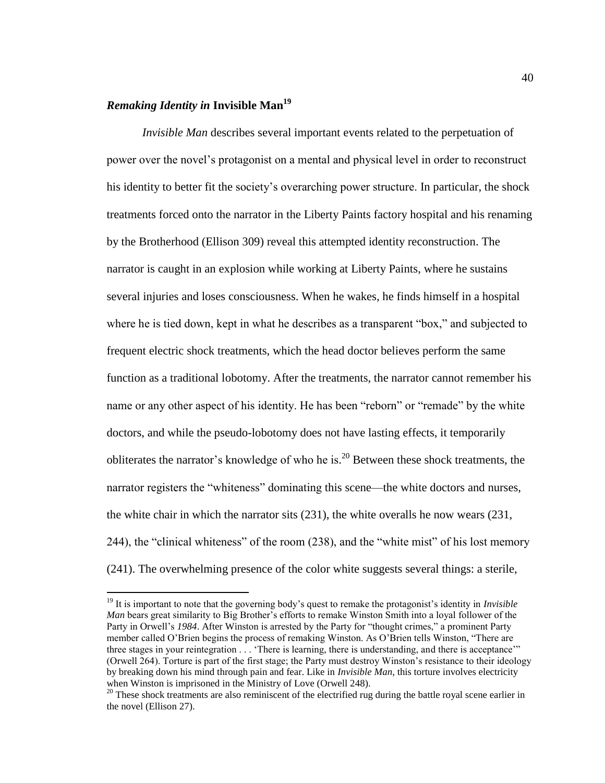# *Remaking Identity in* **Invisible Man<sup>19</sup>**

 $\overline{a}$ 

*Invisible Man* describes several important events related to the perpetuation of power over the novel's protagonist on a mental and physical level in order to reconstruct his identity to better fit the society's overarching power structure. In particular, the shock treatments forced onto the narrator in the Liberty Paints factory hospital and his renaming by the Brotherhood (Ellison 309) reveal this attempted identity reconstruction. The narrator is caught in an explosion while working at Liberty Paints, where he sustains several injuries and loses consciousness. When he wakes, he finds himself in a hospital where he is tied down, kept in what he describes as a transparent "box," and subjected to frequent electric shock treatments, which the head doctor believes perform the same function as a traditional lobotomy. After the treatments, the narrator cannot remember his name or any other aspect of his identity. He has been "reborn" or "remade" by the white doctors, and while the pseudo-lobotomy does not have lasting effects, it temporarily obliterates the narrator's knowledge of who he is.<sup>20</sup> Between these shock treatments, the narrator registers the "whiteness" dominating this scene—the white doctors and nurses, the white chair in which the narrator sits (231), the white overalls he now wears (231, 244), the "clinical whiteness" of the room (238), and the "white mist" of his lost memory (241). The overwhelming presence of the color white suggests several things: a sterile,

<sup>19</sup> It is important to note that the governing body's quest to remake the protagonist's identity in *Invisible Man* bears great similarity to Big Brother's efforts to remake Winston Smith into a loyal follower of the Party in Orwell's *1984*. After Winston is arrested by the Party for "thought crimes," a prominent Party member called O'Brien begins the process of remaking Winston. As O'Brien tells Winston, "There are three stages in your reintegration . . . 'There is learning, there is understanding, and there is acceptance'" (Orwell 264). Torture is part of the first stage; the Party must destroy Winston's resistance to their ideology by breaking down his mind through pain and fear. Like in *Invisible Man*, this torture involves electricity when Winston is imprisoned in the Ministry of Love (Orwell 248).

 $20$  These shock treatments are also reminiscent of the electrified rug during the battle royal scene earlier in the novel (Ellison 27).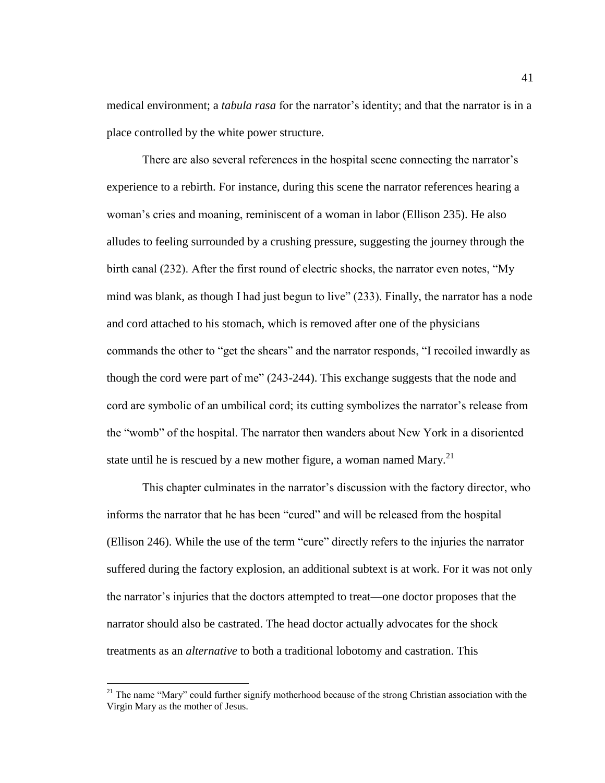medical environment; a *tabula rasa* for the narrator's identity; and that the narrator is in a place controlled by the white power structure.

There are also several references in the hospital scene connecting the narrator's experience to a rebirth. For instance, during this scene the narrator references hearing a woman's cries and moaning, reminiscent of a woman in labor (Ellison 235). He also alludes to feeling surrounded by a crushing pressure, suggesting the journey through the birth canal (232). After the first round of electric shocks, the narrator even notes, "My mind was blank, as though I had just begun to live" (233). Finally, the narrator has a node and cord attached to his stomach, which is removed after one of the physicians commands the other to "get the shears" and the narrator responds, "I recoiled inwardly as though the cord were part of me" (243-244). This exchange suggests that the node and cord are symbolic of an umbilical cord; its cutting symbolizes the narrator's release from the "womb" of the hospital. The narrator then wanders about New York in a disoriented state until he is rescued by a new mother figure, a woman named Mary. $^{21}$ 

This chapter culminates in the narrator's discussion with the factory director, who informs the narrator that he has been "cured" and will be released from the hospital (Ellison 246). While the use of the term "cure" directly refers to the injuries the narrator suffered during the factory explosion, an additional subtext is at work. For it was not only the narrator's injuries that the doctors attempted to treat—one doctor proposes that the narrator should also be castrated. The head doctor actually advocates for the shock treatments as an *alternative* to both a traditional lobotomy and castration. This

 $21$  The name "Mary" could further signify motherhood because of the strong Christian association with the Virgin Mary as the mother of Jesus.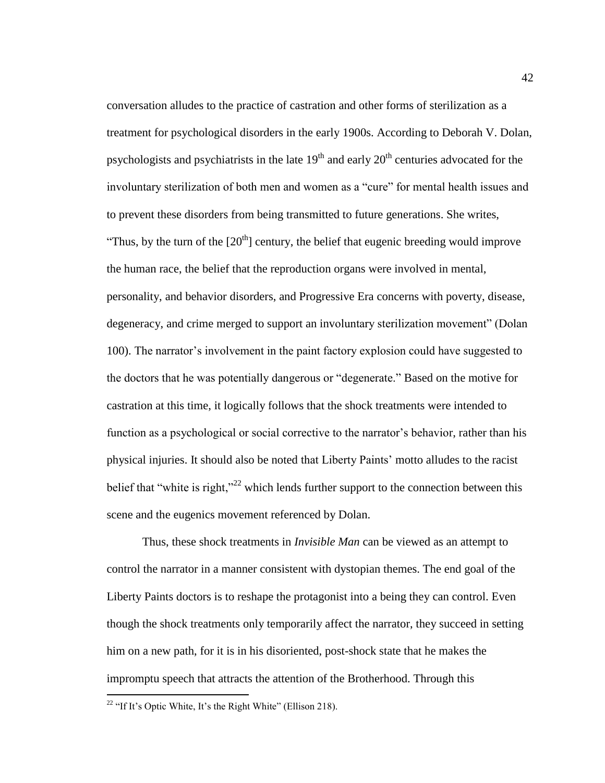conversation alludes to the practice of castration and other forms of sterilization as a treatment for psychological disorders in the early 1900s. According to Deborah V. Dolan, psychologists and psychiatrists in the late  $19<sup>th</sup>$  and early  $20<sup>th</sup>$  centuries advocated for the involuntary sterilization of both men and women as a "cure" for mental health issues and to prevent these disorders from being transmitted to future generations. She writes, "Thus, by the turn of the  $[20<sup>th</sup>]$  century, the belief that eugenic breeding would improve the human race, the belief that the reproduction organs were involved in mental, personality, and behavior disorders, and Progressive Era concerns with poverty, disease, degeneracy, and crime merged to support an involuntary sterilization movement" (Dolan 100). The narrator's involvement in the paint factory explosion could have suggested to the doctors that he was potentially dangerous or "degenerate." Based on the motive for castration at this time, it logically follows that the shock treatments were intended to function as a psychological or social corrective to the narrator's behavior, rather than his physical injuries. It should also be noted that Liberty Paints' motto alludes to the racist belief that "white is right,"<sup>22</sup> which lends further support to the connection between this scene and the eugenics movement referenced by Dolan.

Thus, these shock treatments in *Invisible Man* can be viewed as an attempt to control the narrator in a manner consistent with dystopian themes. The end goal of the Liberty Paints doctors is to reshape the protagonist into a being they can control. Even though the shock treatments only temporarily affect the narrator, they succeed in setting him on a new path, for it is in his disoriented, post-shock state that he makes the impromptu speech that attracts the attention of the Brotherhood. Through this

<sup>&</sup>lt;sup>22</sup> "If It's Optic White, It's the Right White" (Ellison 218).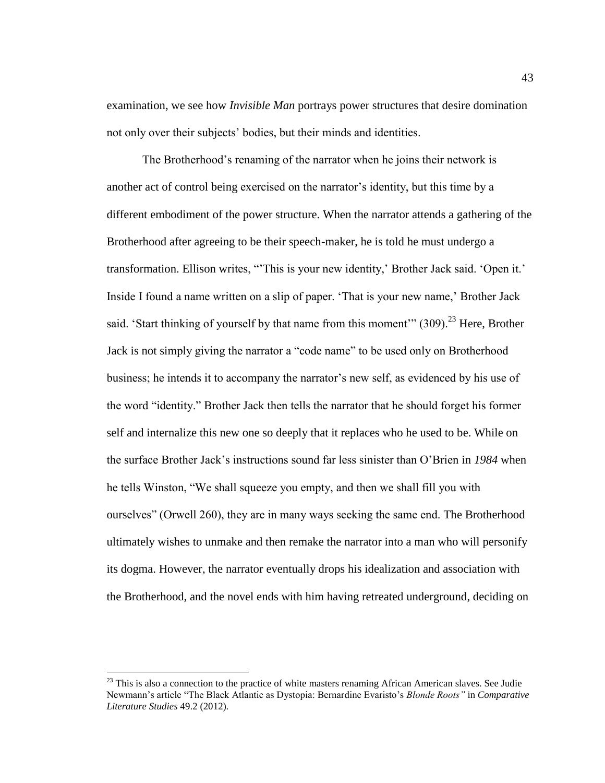examination, we see how *Invisible Man* portrays power structures that desire domination not only over their subjects' bodies, but their minds and identities.

The Brotherhood's renaming of the narrator when he joins their network is another act of control being exercised on the narrator's identity, but this time by a different embodiment of the power structure. When the narrator attends a gathering of the Brotherhood after agreeing to be their speech-maker, he is told he must undergo a transformation. Ellison writes, "'This is your new identity,' Brother Jack said. 'Open it.' Inside I found a name written on a slip of paper. 'That is your new name,' Brother Jack said. 'Start thinking of yourself by that name from this moment'"  $(309)$ <sup>23</sup> Here, Brother Jack is not simply giving the narrator a "code name" to be used only on Brotherhood business; he intends it to accompany the narrator's new self, as evidenced by his use of the word "identity." Brother Jack then tells the narrator that he should forget his former self and internalize this new one so deeply that it replaces who he used to be. While on the surface Brother Jack's instructions sound far less sinister than O'Brien in *1984* when he tells Winston, "We shall squeeze you empty, and then we shall fill you with ourselves" (Orwell 260), they are in many ways seeking the same end. The Brotherhood ultimately wishes to unmake and then remake the narrator into a man who will personify its dogma. However, the narrator eventually drops his idealization and association with the Brotherhood, and the novel ends with him having retreated underground, deciding on

 $23$  This is also a connection to the practice of white masters renaming African American slaves. See Judie Newmann's article "The Black Atlantic as Dystopia: Bernardine Evaristo's *Blonde Roots"* in *Comparative Literature Studies* 49.2 (2012).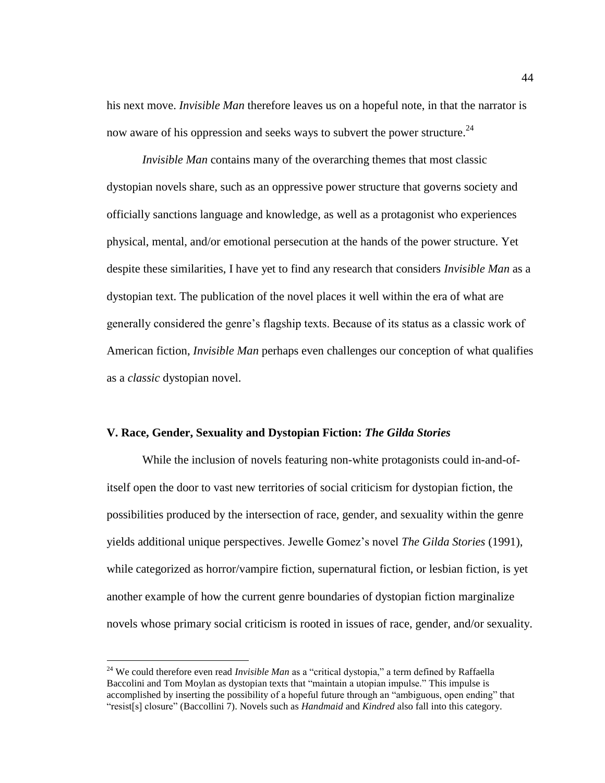his next move. *Invisible Man* therefore leaves us on a hopeful note, in that the narrator is now aware of his oppression and seeks ways to subvert the power structure.<sup>24</sup>

*Invisible Man* contains many of the overarching themes that most classic dystopian novels share, such as an oppressive power structure that governs society and officially sanctions language and knowledge, as well as a protagonist who experiences physical, mental, and/or emotional persecution at the hands of the power structure. Yet despite these similarities, I have yet to find any research that considers *Invisible Man* as a dystopian text. The publication of the novel places it well within the era of what are generally considered the genre's flagship texts. Because of its status as a classic work of American fiction, *Invisible Man* perhaps even challenges our conception of what qualifies as a *classic* dystopian novel.

## **V. Race, Gender, Sexuality and Dystopian Fiction:** *The Gilda Stories*

While the inclusion of novels featuring non-white protagonists could in-and-ofitself open the door to vast new territories of social criticism for dystopian fiction, the possibilities produced by the intersection of race, gender, and sexuality within the genre yields additional unique perspectives. Jewelle Gomez's novel *The Gilda Stories* (1991), while categorized as horror/vampire fiction, supernatural fiction, or lesbian fiction, is yet another example of how the current genre boundaries of dystopian fiction marginalize novels whose primary social criticism is rooted in issues of race, gender, and/or sexuality.

<sup>&</sup>lt;sup>24</sup> We could therefore even read *Invisible Man* as a "critical dystopia," a term defined by Raffaella Baccolini and Tom Moylan as dystopian texts that "maintain a utopian impulse." This impulse is accomplished by inserting the possibility of a hopeful future through an "ambiguous, open ending" that "resist[s] closure" (Baccollini 7). Novels such as *Handmaid* and *Kindred* also fall into this category.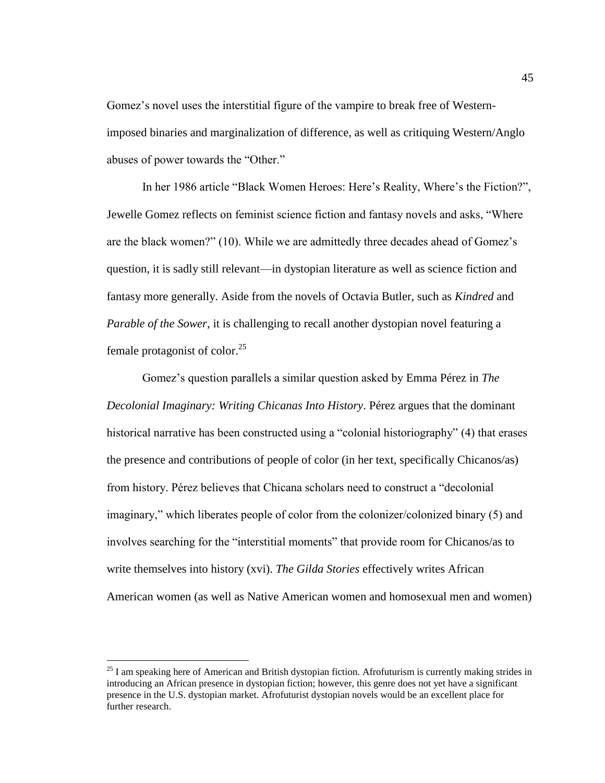Gomez's novel uses the interstitial figure of the vampire to break free of Westernimposed binaries and marginalization of difference, as well as critiquing Western/Anglo abuses of power towards the "Other."

In her 1986 article "Black Women Heroes: Here's Reality, Where's the Fiction?", Jewelle Gomez reflects on feminist science fiction and fantasy novels and asks, "Where are the black women?" (10). While we are admittedly three decades ahead of Gomez's question, it is sadly still relevant—in dystopian literature as well as science fiction and fantasy more generally. Aside from the novels of Octavia Butler, such as *Kindred* and *Parable of the Sower*, it is challenging to recall another dystopian novel featuring a female protagonist of color.<sup>25</sup>

Gomez's question parallels a similar question asked by Emma Pérez in *The Decolonial Imaginary: Writing Chicanas Into History*. Pérez argues that the dominant historical narrative has been constructed using a "colonial historiography" (4) that erases the presence and contributions of people of color (in her text, specifically Chicanos/as) from history. Pérez believes that Chicana scholars need to construct a "decolonial imaginary," which liberates people of color from the colonizer/colonized binary (5) and involves searching for the "interstitial moments" that provide room for Chicanos/as to write themselves into history (xvi). *The Gilda Stories* effectively writes African American women (as well as Native American women and homosexual men and women)

 $^{25}$  I am speaking here of American and British dystopian fiction. Afrofuturism is currently making strides in introducing an African presence in dystopian fiction; however, this genre does not yet have a significant presence in the U.S. dystopian market. Afrofuturist dystopian novels would be an excellent place for further research.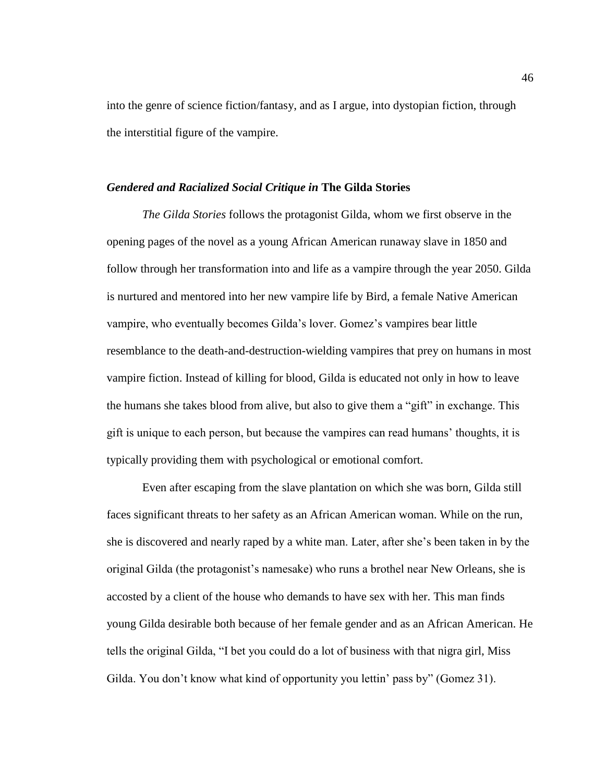into the genre of science fiction/fantasy, and as I argue, into dystopian fiction, through the interstitial figure of the vampire.

## *Gendered and Racialized Social Critique in* **The Gilda Stories**

*The Gilda Stories* follows the protagonist Gilda, whom we first observe in the opening pages of the novel as a young African American runaway slave in 1850 and follow through her transformation into and life as a vampire through the year 2050. Gilda is nurtured and mentored into her new vampire life by Bird, a female Native American vampire, who eventually becomes Gilda's lover. Gomez's vampires bear little resemblance to the death-and-destruction-wielding vampires that prey on humans in most vampire fiction. Instead of killing for blood, Gilda is educated not only in how to leave the humans she takes blood from alive, but also to give them a "gift" in exchange. This gift is unique to each person, but because the vampires can read humans' thoughts, it is typically providing them with psychological or emotional comfort.

Even after escaping from the slave plantation on which she was born, Gilda still faces significant threats to her safety as an African American woman. While on the run, she is discovered and nearly raped by a white man. Later, after she's been taken in by the original Gilda (the protagonist's namesake) who runs a brothel near New Orleans, she is accosted by a client of the house who demands to have sex with her. This man finds young Gilda desirable both because of her female gender and as an African American. He tells the original Gilda, "I bet you could do a lot of business with that nigra girl, Miss Gilda. You don't know what kind of opportunity you lettin' pass by" (Gomez 31).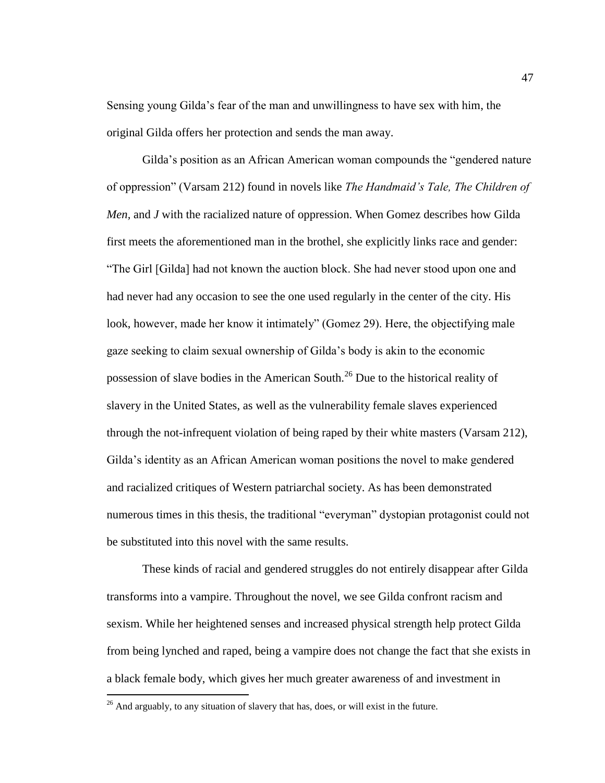Sensing young Gilda's fear of the man and unwillingness to have sex with him, the original Gilda offers her protection and sends the man away.

Gilda's position as an African American woman compounds the "gendered nature of oppression" (Varsam 212) found in novels like *The Handmaid's Tale, The Children of Men,* and *J* with the racialized nature of oppression. When Gomez describes how Gilda first meets the aforementioned man in the brothel, she explicitly links race and gender: "The Girl [Gilda] had not known the auction block. She had never stood upon one and had never had any occasion to see the one used regularly in the center of the city. His look, however, made her know it intimately" (Gomez 29). Here, the objectifying male gaze seeking to claim sexual ownership of Gilda's body is akin to the economic possession of slave bodies in the American South.<sup>26</sup> Due to the historical reality of slavery in the United States, as well as the vulnerability female slaves experienced through the not-infrequent violation of being raped by their white masters (Varsam 212), Gilda's identity as an African American woman positions the novel to make gendered and racialized critiques of Western patriarchal society. As has been demonstrated numerous times in this thesis, the traditional "everyman" dystopian protagonist could not be substituted into this novel with the same results.

These kinds of racial and gendered struggles do not entirely disappear after Gilda transforms into a vampire. Throughout the novel, we see Gilda confront racism and sexism. While her heightened senses and increased physical strength help protect Gilda from being lynched and raped, being a vampire does not change the fact that she exists in a black female body, which gives her much greater awareness of and investment in

 $^{26}$  And arguably, to any situation of slavery that has, does, or will exist in the future.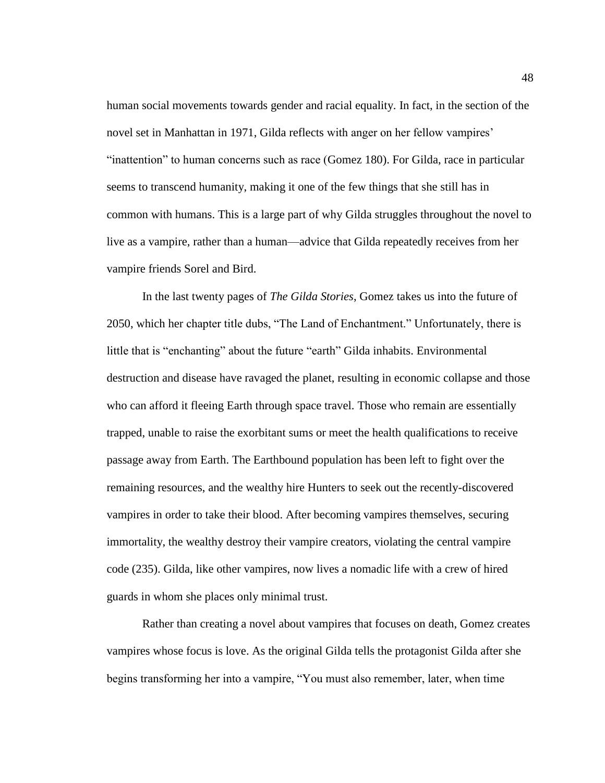human social movements towards gender and racial equality. In fact, in the section of the novel set in Manhattan in 1971, Gilda reflects with anger on her fellow vampires' "inattention" to human concerns such as race (Gomez 180). For Gilda, race in particular seems to transcend humanity, making it one of the few things that she still has in common with humans. This is a large part of why Gilda struggles throughout the novel to live as a vampire, rather than a human—advice that Gilda repeatedly receives from her vampire friends Sorel and Bird.

In the last twenty pages of *The Gilda Stories*, Gomez takes us into the future of 2050, which her chapter title dubs, "The Land of Enchantment." Unfortunately, there is little that is "enchanting" about the future "earth" Gilda inhabits. Environmental destruction and disease have ravaged the planet, resulting in economic collapse and those who can afford it fleeing Earth through space travel. Those who remain are essentially trapped, unable to raise the exorbitant sums or meet the health qualifications to receive passage away from Earth. The Earthbound population has been left to fight over the remaining resources, and the wealthy hire Hunters to seek out the recently-discovered vampires in order to take their blood. After becoming vampires themselves, securing immortality, the wealthy destroy their vampire creators, violating the central vampire code (235). Gilda, like other vampires, now lives a nomadic life with a crew of hired guards in whom she places only minimal trust.

Rather than creating a novel about vampires that focuses on death, Gomez creates vampires whose focus is love. As the original Gilda tells the protagonist Gilda after she begins transforming her into a vampire, "You must also remember, later, when time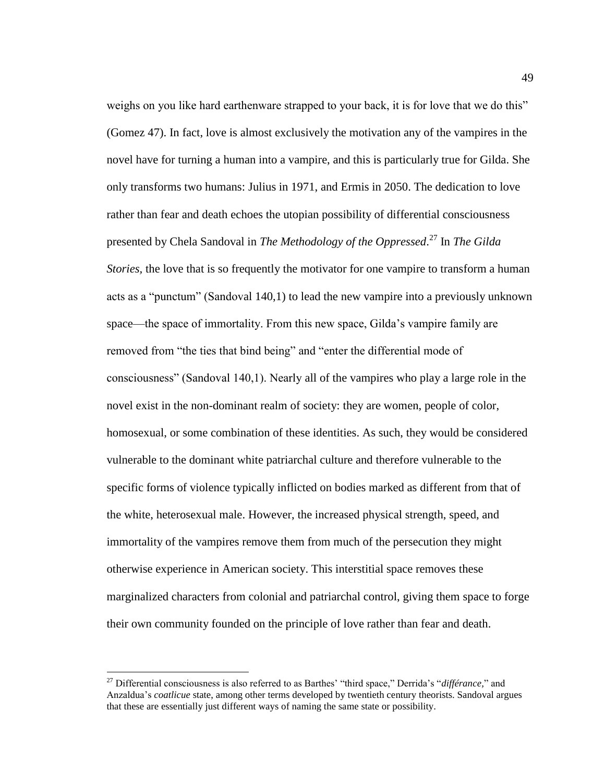weighs on you like hard earthenware strapped to your back, it is for love that we do this" (Gomez 47). In fact, love is almost exclusively the motivation any of the vampires in the novel have for turning a human into a vampire, and this is particularly true for Gilda. She only transforms two humans: Julius in 1971, and Ermis in 2050. The dedication to love rather than fear and death echoes the utopian possibility of differential consciousness presented by Chela Sandoval in *The Methodology of the Oppressed*. <sup>27</sup> In *The Gilda Stories*, the love that is so frequently the motivator for one vampire to transform a human acts as a "punctum" (Sandoval 140,1) to lead the new vampire into a previously unknown space—the space of immortality. From this new space, Gilda's vampire family are removed from "the ties that bind being" and "enter the differential mode of consciousness" (Sandoval 140,1). Nearly all of the vampires who play a large role in the novel exist in the non-dominant realm of society: they are women, people of color, homosexual, or some combination of these identities. As such, they would be considered vulnerable to the dominant white patriarchal culture and therefore vulnerable to the specific forms of violence typically inflicted on bodies marked as different from that of the white, heterosexual male. However, the increased physical strength, speed, and immortality of the vampires remove them from much of the persecution they might otherwise experience in American society. This interstitial space removes these marginalized characters from colonial and patriarchal control, giving them space to forge their own community founded on the principle of love rather than fear and death.

<sup>27</sup> Differential consciousness is also referred to as Barthes' "third space," Derrida's "*différance,*" and Anzaldua's *coatlicue* state, among other terms developed by twentieth century theorists. Sandoval argues that these are essentially just different ways of naming the same state or possibility.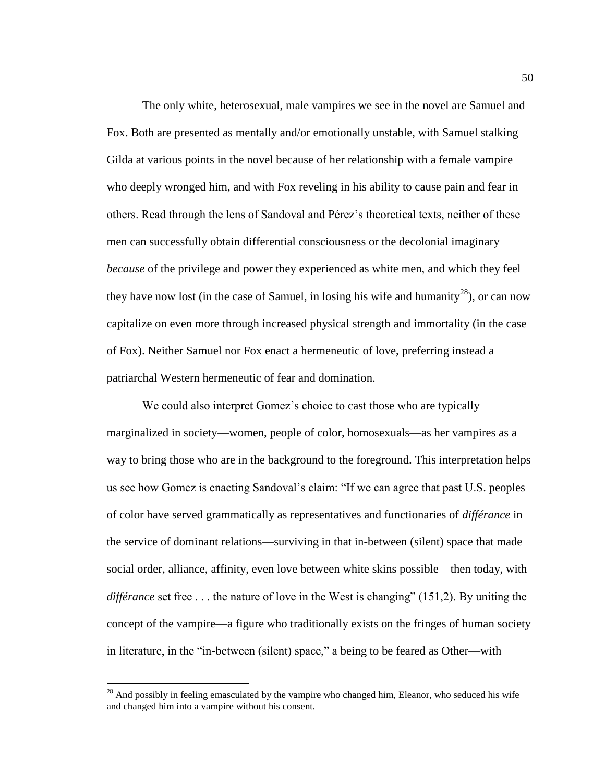The only white, heterosexual, male vampires we see in the novel are Samuel and Fox. Both are presented as mentally and/or emotionally unstable, with Samuel stalking Gilda at various points in the novel because of her relationship with a female vampire who deeply wronged him, and with Fox reveling in his ability to cause pain and fear in others. Read through the lens of Sandoval and Pérez's theoretical texts, neither of these men can successfully obtain differential consciousness or the decolonial imaginary *because* of the privilege and power they experienced as white men, and which they feel they have now lost (in the case of Samuel, in losing his wife and humanity<sup>28</sup>), or can now capitalize on even more through increased physical strength and immortality (in the case of Fox). Neither Samuel nor Fox enact a hermeneutic of love, preferring instead a patriarchal Western hermeneutic of fear and domination.

We could also interpret Gomez's choice to cast those who are typically marginalized in society—women, people of color, homosexuals—as her vampires as a way to bring those who are in the background to the foreground. This interpretation helps us see how Gomez is enacting Sandoval's claim: "If we can agree that past U.S. peoples of color have served grammatically as representatives and functionaries of *différance* in the service of dominant relations—surviving in that in-between (silent) space that made social order, alliance, affinity, even love between white skins possible—then today, with *différance* set free . . . the nature of love in the West is changing" (151,2). By uniting the concept of the vampire—a figure who traditionally exists on the fringes of human society in literature, in the "in-between (silent) space," a being to be feared as Other—with

 $^{28}$  And possibly in feeling emasculated by the vampire who changed him, Eleanor, who seduced his wife and changed him into a vampire without his consent.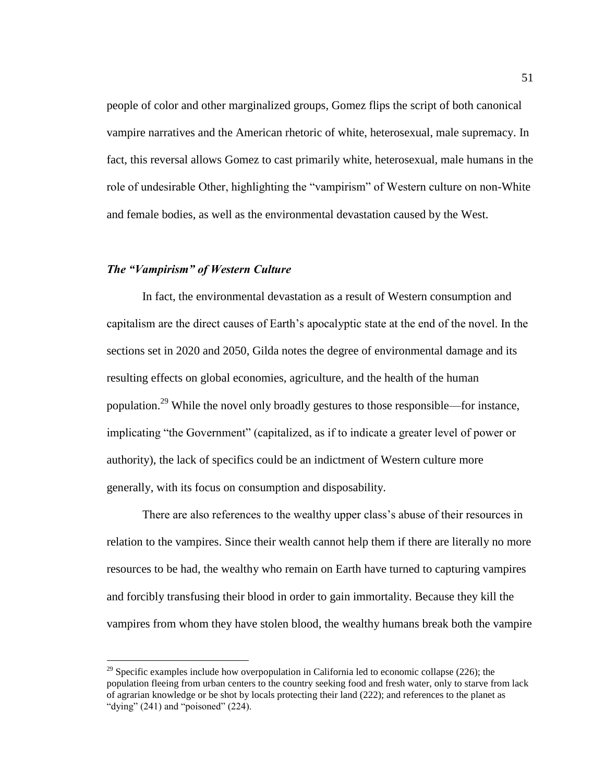people of color and other marginalized groups, Gomez flips the script of both canonical vampire narratives and the American rhetoric of white, heterosexual, male supremacy. In fact, this reversal allows Gomez to cast primarily white, heterosexual, male humans in the role of undesirable Other, highlighting the "vampirism" of Western culture on non-White and female bodies, as well as the environmental devastation caused by the West.

# *The "Vampirism" of Western Culture*

 $\overline{a}$ 

In fact, the environmental devastation as a result of Western consumption and capitalism are the direct causes of Earth's apocalyptic state at the end of the novel. In the sections set in 2020 and 2050, Gilda notes the degree of environmental damage and its resulting effects on global economies, agriculture, and the health of the human population.<sup>29</sup> While the novel only broadly gestures to those responsible—for instance, implicating "the Government" (capitalized, as if to indicate a greater level of power or authority), the lack of specifics could be an indictment of Western culture more generally, with its focus on consumption and disposability.

There are also references to the wealthy upper class's abuse of their resources in relation to the vampires. Since their wealth cannot help them if there are literally no more resources to be had, the wealthy who remain on Earth have turned to capturing vampires and forcibly transfusing their blood in order to gain immortality. Because they kill the vampires from whom they have stolen blood, the wealthy humans break both the vampire

<sup>&</sup>lt;sup>29</sup> Specific examples include how overpopulation in California led to economic collapse (226); the population fleeing from urban centers to the country seeking food and fresh water, only to starve from lack of agrarian knowledge or be shot by locals protecting their land (222); and references to the planet as "dying"  $(241)$  and "poisoned"  $(224)$ .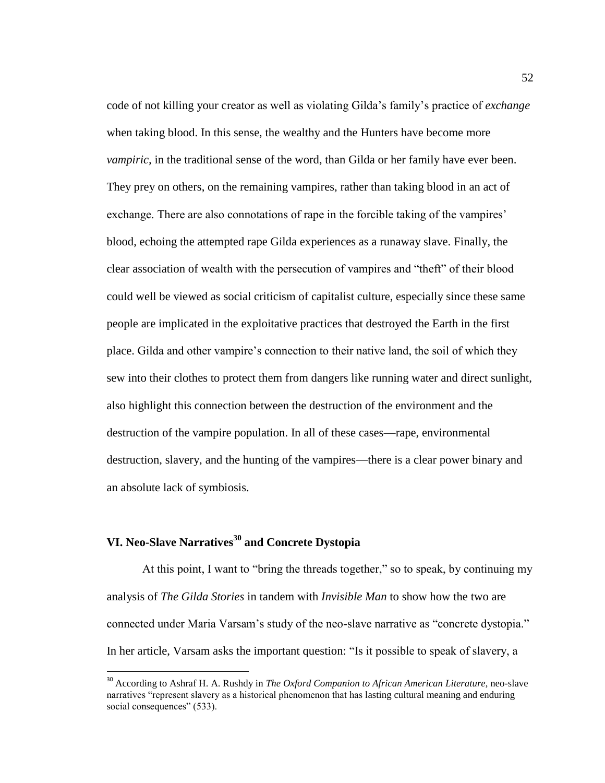code of not killing your creator as well as violating Gilda's family's practice of *exchange* when taking blood. In this sense, the wealthy and the Hunters have become more *vampiric,* in the traditional sense of the word, than Gilda or her family have ever been. They prey on others, on the remaining vampires, rather than taking blood in an act of exchange. There are also connotations of rape in the forcible taking of the vampires' blood, echoing the attempted rape Gilda experiences as a runaway slave. Finally, the clear association of wealth with the persecution of vampires and "theft" of their blood could well be viewed as social criticism of capitalist culture, especially since these same people are implicated in the exploitative practices that destroyed the Earth in the first place. Gilda and other vampire's connection to their native land, the soil of which they sew into their clothes to protect them from dangers like running water and direct sunlight, also highlight this connection between the destruction of the environment and the destruction of the vampire population. In all of these cases—rape, environmental destruction, slavery, and the hunting of the vampires—there is a clear power binary and an absolute lack of symbiosis.

# **VI. Neo-Slave Narratives<sup>30</sup> and Concrete Dystopia**

 $\overline{a}$ 

At this point, I want to "bring the threads together," so to speak, by continuing my analysis of *The Gilda Stories* in tandem with *Invisible Man* to show how the two are connected under Maria Varsam's study of the neo-slave narrative as "concrete dystopia." In her article, Varsam asks the important question: "Is it possible to speak of slavery, a

<sup>30</sup> According to Ashraf H. A. Rushdy in *The Oxford Companion to African American Literature*, neo-slave narratives "represent slavery as a historical phenomenon that has lasting cultural meaning and enduring social consequences" (533).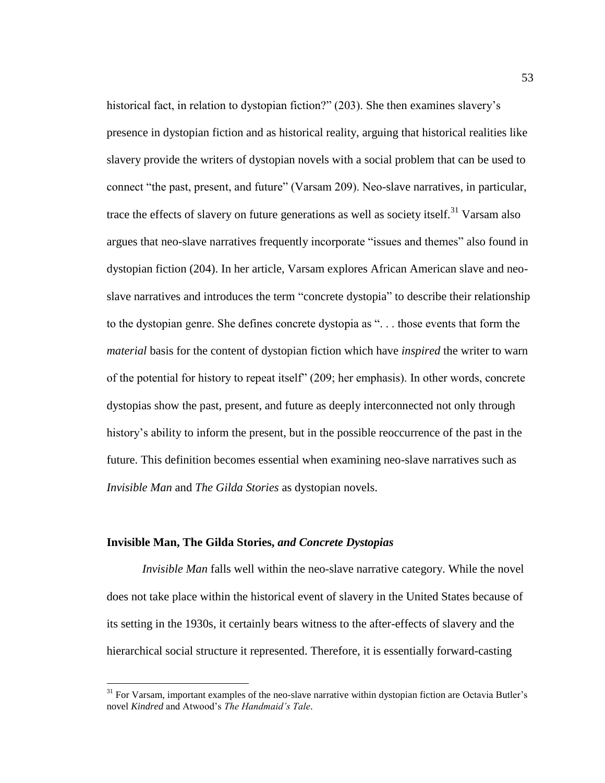historical fact, in relation to dystopian fiction?" (203). She then examines slavery's presence in dystopian fiction and as historical reality, arguing that historical realities like slavery provide the writers of dystopian novels with a social problem that can be used to connect "the past, present, and future" (Varsam 209). Neo-slave narratives, in particular, trace the effects of slavery on future generations as well as society itself.<sup>31</sup> Varsam also argues that neo-slave narratives frequently incorporate "issues and themes" also found in dystopian fiction (204). In her article, Varsam explores African American slave and neoslave narratives and introduces the term "concrete dystopia" to describe their relationship to the dystopian genre. She defines concrete dystopia as ". . . those events that form the *material* basis for the content of dystopian fiction which have *inspired* the writer to warn of the potential for history to repeat itself" (209; her emphasis). In other words, concrete dystopias show the past, present, and future as deeply interconnected not only through history's ability to inform the present, but in the possible reoccurrence of the past in the future. This definition becomes essential when examining neo-slave narratives such as *Invisible Man* and *The Gilda Stories* as dystopian novels.

## **Invisible Man, The Gilda Stories,** *and Concrete Dystopias*

 $\overline{a}$ 

*Invisible Man* falls well within the neo-slave narrative category. While the novel does not take place within the historical event of slavery in the United States because of its setting in the 1930s, it certainly bears witness to the after-effects of slavery and the hierarchical social structure it represented. Therefore, it is essentially forward-casting

 $31$  For Varsam, important examples of the neo-slave narrative within dystopian fiction are Octavia Butler's novel *Kindred* and Atwood's *The Handmaid's Tale*.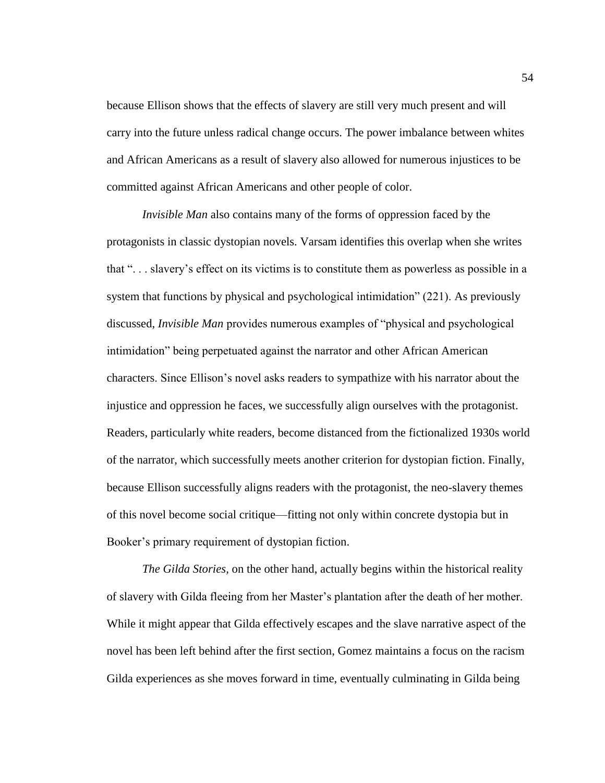because Ellison shows that the effects of slavery are still very much present and will carry into the future unless radical change occurs. The power imbalance between whites and African Americans as a result of slavery also allowed for numerous injustices to be committed against African Americans and other people of color.

*Invisible Man* also contains many of the forms of oppression faced by the protagonists in classic dystopian novels. Varsam identifies this overlap when she writes that ". . . slavery's effect on its victims is to constitute them as powerless as possible in a system that functions by physical and psychological intimidation" (221). As previously discussed, *Invisible Man* provides numerous examples of "physical and psychological intimidation" being perpetuated against the narrator and other African American characters. Since Ellison's novel asks readers to sympathize with his narrator about the injustice and oppression he faces, we successfully align ourselves with the protagonist. Readers, particularly white readers, become distanced from the fictionalized 1930s world of the narrator, which successfully meets another criterion for dystopian fiction. Finally, because Ellison successfully aligns readers with the protagonist, the neo-slavery themes of this novel become social critique—fitting not only within concrete dystopia but in Booker's primary requirement of dystopian fiction.

*The Gilda Stories,* on the other hand, actually begins within the historical reality of slavery with Gilda fleeing from her Master's plantation after the death of her mother. While it might appear that Gilda effectively escapes and the slave narrative aspect of the novel has been left behind after the first section, Gomez maintains a focus on the racism Gilda experiences as she moves forward in time, eventually culminating in Gilda being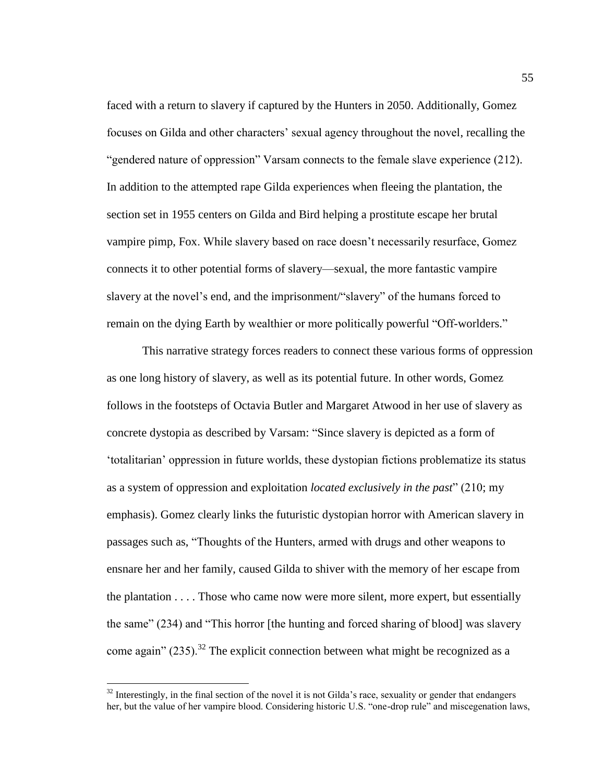faced with a return to slavery if captured by the Hunters in 2050. Additionally, Gomez focuses on Gilda and other characters' sexual agency throughout the novel, recalling the "gendered nature of oppression" Varsam connects to the female slave experience (212). In addition to the attempted rape Gilda experiences when fleeing the plantation, the section set in 1955 centers on Gilda and Bird helping a prostitute escape her brutal vampire pimp, Fox. While slavery based on race doesn't necessarily resurface, Gomez connects it to other potential forms of slavery—sexual, the more fantastic vampire slavery at the novel's end, and the imprisonment/"slavery" of the humans forced to remain on the dying Earth by wealthier or more politically powerful "Off-worlders."

This narrative strategy forces readers to connect these various forms of oppression as one long history of slavery, as well as its potential future. In other words, Gomez follows in the footsteps of Octavia Butler and Margaret Atwood in her use of slavery as concrete dystopia as described by Varsam: "Since slavery is depicted as a form of 'totalitarian' oppression in future worlds, these dystopian fictions problematize its status as a system of oppression and exploitation *located exclusively in the past*" (210; my emphasis). Gomez clearly links the futuristic dystopian horror with American slavery in passages such as, "Thoughts of the Hunters, armed with drugs and other weapons to ensnare her and her family, caused Gilda to shiver with the memory of her escape from the plantation . . . . Those who came now were more silent, more expert, but essentially the same" (234) and "This horror [the hunting and forced sharing of blood] was slavery come again"  $(235)$ .<sup>32</sup> The explicit connection between what might be recognized as a

 $32$  Interestingly, in the final section of the novel it is not Gilda's race, sexuality or gender that endangers her, but the value of her vampire blood. Considering historic U.S. "one-drop rule" and miscegenation laws,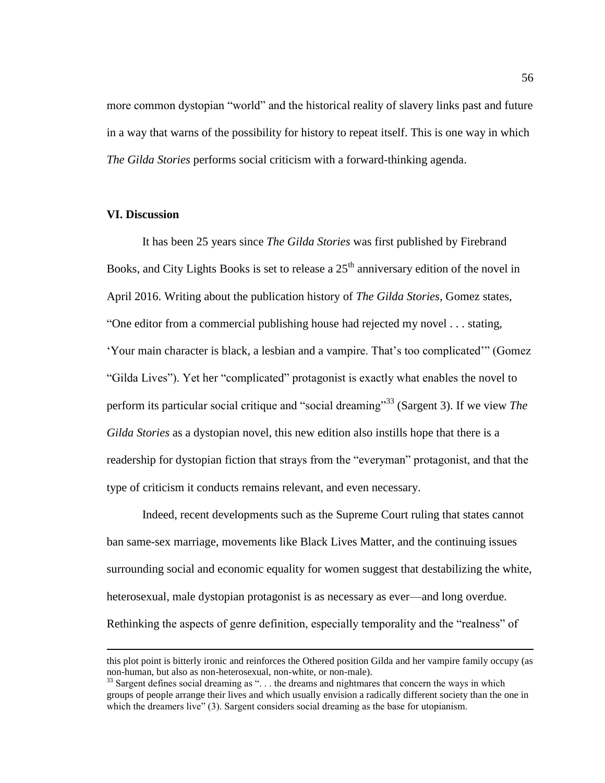more common dystopian "world" and the historical reality of slavery links past and future in a way that warns of the possibility for history to repeat itself. This is one way in which *The Gilda Stories* performs social criticism with a forward-thinking agenda.

# **VI. Discussion**

 $\overline{a}$ 

It has been 25 years since *The Gilda Stories* was first published by Firebrand Books, and City Lights Books is set to release a  $25<sup>th</sup>$  anniversary edition of the novel in April 2016. Writing about the publication history of *The Gilda Stories,* Gomez states, "One editor from a commercial publishing house had rejected my novel . . . stating, 'Your main character is black, a lesbian and a vampire. That's too complicated'" (Gomez "Gilda Lives"). Yet her "complicated" protagonist is exactly what enables the novel to perform its particular social critique and "social dreaming"<sup>33</sup> (Sargent 3). If we view *The Gilda Stories* as a dystopian novel, this new edition also instills hope that there is a readership for dystopian fiction that strays from the "everyman" protagonist, and that the type of criticism it conducts remains relevant, and even necessary.

Indeed, recent developments such as the Supreme Court ruling that states cannot ban same-sex marriage, movements like Black Lives Matter, and the continuing issues surrounding social and economic equality for women suggest that destabilizing the white, heterosexual, male dystopian protagonist is as necessary as ever—and long overdue. Rethinking the aspects of genre definition, especially temporality and the "realness" of

this plot point is bitterly ironic and reinforces the Othered position Gilda and her vampire family occupy (as non-human, but also as non-heterosexual, non-white, or non-male).

 $33$  Sargent defines social dreaming as " $\ldots$  the dreams and nightmares that concern the ways in which groups of people arrange their lives and which usually envision a radically different society than the one in which the dreamers live" (3). Sargent considers social dreaming as the base for utopianism.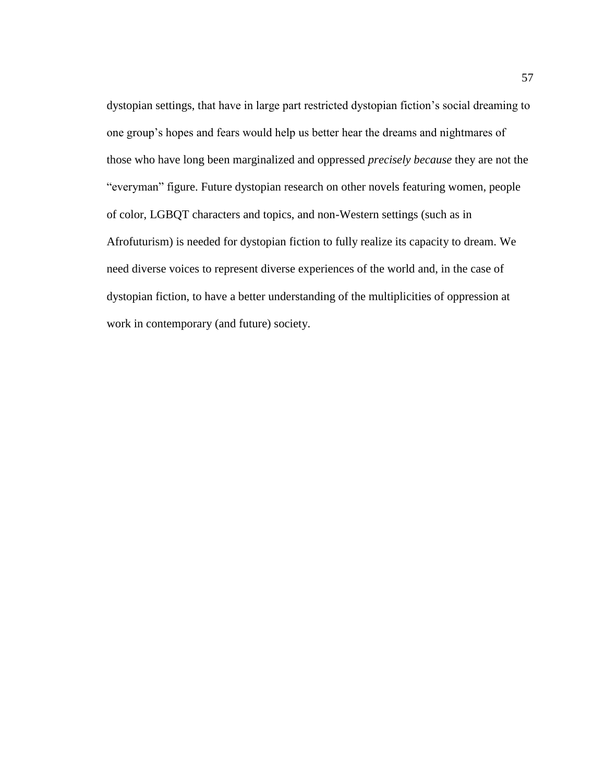dystopian settings, that have in large part restricted dystopian fiction's social dreaming to one group's hopes and fears would help us better hear the dreams and nightmares of those who have long been marginalized and oppressed *precisely because* they are not the "everyman" figure. Future dystopian research on other novels featuring women, people of color, LGBQT characters and topics, and non-Western settings (such as in Afrofuturism) is needed for dystopian fiction to fully realize its capacity to dream. We need diverse voices to represent diverse experiences of the world and, in the case of dystopian fiction, to have a better understanding of the multiplicities of oppression at work in contemporary (and future) society.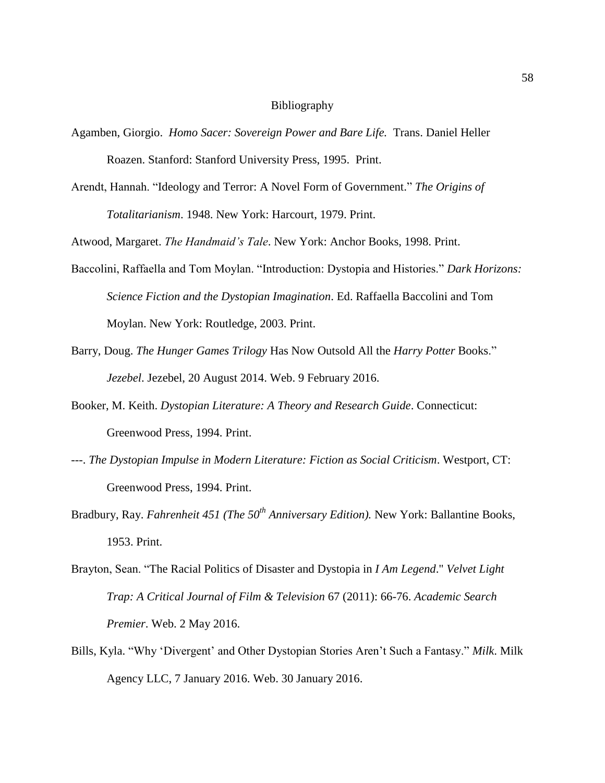## Bibliography

- Agamben, Giorgio. *Homo Sacer: Sovereign Power and Bare Life.* Trans. Daniel Heller Roazen. Stanford: Stanford University Press, 1995. Print.
- Arendt, Hannah. "Ideology and Terror: A Novel Form of Government." *The Origins of Totalitarianism*. 1948. New York: Harcourt, 1979. Print.

Atwood, Margaret. *The Handmaid's Tale*. New York: Anchor Books, 1998. Print.

- Baccolini, Raffaella and Tom Moylan. "Introduction: Dystopia and Histories." *Dark Horizons: Science Fiction and the Dystopian Imagination*. Ed. Raffaella Baccolini and Tom Moylan. New York: Routledge, 2003. Print.
- Barry, Doug. *The Hunger Games Trilogy* Has Now Outsold All the *Harry Potter* Books." *Jezebel*. Jezebel, 20 August 2014. Web. 9 February 2016.
- Booker, M. Keith. *Dystopian Literature: A Theory and Research Guide*. Connecticut: Greenwood Press, 1994. Print.
- ---. *The Dystopian Impulse in Modern Literature: Fiction as Social Criticism*. Westport, CT: Greenwood Press, 1994. Print.
- Bradbury, Ray. *Fahrenheit 451 (The 50th Anniversary Edition).* New York: Ballantine Books, 1953. Print.
- Brayton, Sean. "The Racial Politics of Disaster and Dystopia in *I Am Legend*." *Velvet Light Trap: A Critical Journal of Film & Television* 67 (2011): 66-76. *Academic Search Premier*. Web. 2 May 2016.
- Bills, Kyla. "Why 'Divergent' and Other Dystopian Stories Aren't Such a Fantasy." *Milk*. Milk Agency LLC, 7 January 2016. Web. 30 January 2016.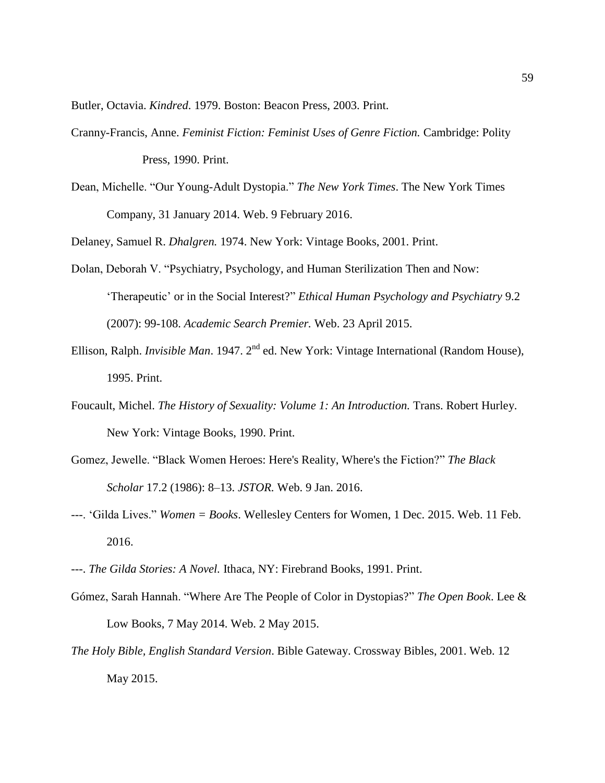Butler, Octavia. *Kindred*. 1979. Boston: Beacon Press, 2003. Print.

- Cranny-Francis, Anne. *Feminist Fiction: Feminist Uses of Genre Fiction.* Cambridge: Polity Press, 1990. Print.
- Dean, Michelle. "Our Young-Adult Dystopia." *The New York Times*. The New York Times Company, 31 January 2014. Web. 9 February 2016.

Delaney, Samuel R. *Dhalgren.* 1974. New York: Vintage Books, 2001. Print.

- Dolan, Deborah V. "Psychiatry, Psychology, and Human Sterilization Then and Now: 'Therapeutic' or in the Social Interest?" *Ethical Human Psychology and Psychiatry* 9.2 (2007): 99-108. *Academic Search Premier.* Web. 23 April 2015.
- Ellison, Ralph. *Invisible Man*. 1947. 2<sup>nd</sup> ed. New York: Vintage International (Random House), 1995. Print.
- Foucault, Michel. *The History of Sexuality: Volume 1: An Introduction.* Trans. Robert Hurley. New York: Vintage Books, 1990. Print.
- Gomez, Jewelle. "Black Women Heroes: Here's Reality, Where's the Fiction?" *The Black Scholar* 17.2 (1986): 8–13. *JSTOR.* Web. 9 Jan. 2016.
- ---. 'Gilda Lives." *Women = Books*. Wellesley Centers for Women, 1 Dec. 2015. Web. 11 Feb. 2016.
- ---. *The Gilda Stories: A Novel.* Ithaca, NY: Firebrand Books, 1991. Print.
- Gómez, Sarah Hannah. "Where Are The People of Color in Dystopias?" *The Open Book*. Lee & Low Books, 7 May 2014. Web. 2 May 2015.
- *The Holy Bible, English Standard Version*. Bible Gateway. Crossway Bibles, 2001. Web. 12 May 2015.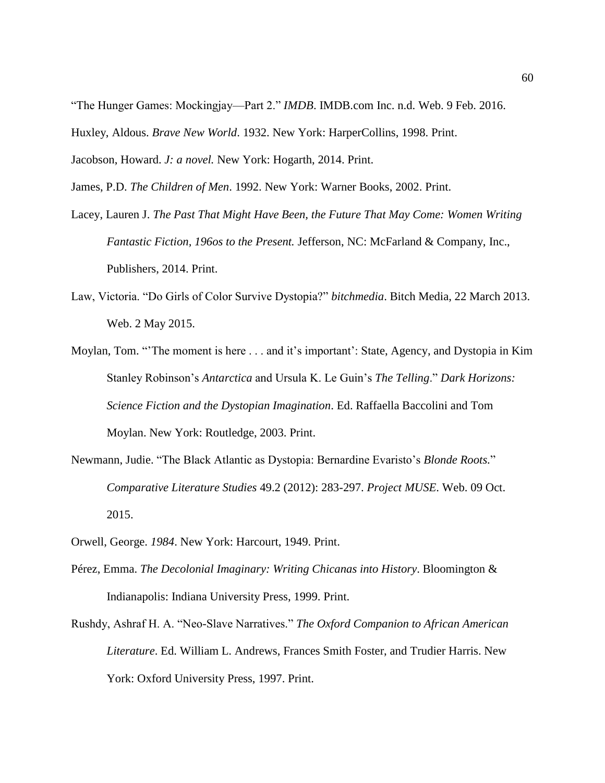"The Hunger Games: Mockingjay—Part 2." *IMDB*. IMDB.com Inc. n.d. Web. 9 Feb. 2016.

Huxley, Aldous. *Brave New World*. 1932. New York: HarperCollins, 1998. Print.

Jacobson, Howard. *J: a novel.* New York: Hogarth, 2014. Print.

James, P.D. *The Children of Men*. 1992. New York: Warner Books, 2002. Print.

- Lacey, Lauren J. *The Past That Might Have Been, the Future That May Come: Women Writing Fantastic Fiction, 196os to the Present.* Jefferson, NC: McFarland & Company, Inc., Publishers, 2014. Print.
- Law, Victoria. "Do Girls of Color Survive Dystopia?" *bitchmedia*. Bitch Media, 22 March 2013. Web. 2 May 2015.
- Moylan, Tom. "'The moment is here . . . and it's important': State, Agency, and Dystopia in Kim Stanley Robinson's *Antarctica* and Ursula K. Le Guin's *The Telling*." *Dark Horizons: Science Fiction and the Dystopian Imagination*. Ed. Raffaella Baccolini and Tom Moylan. New York: Routledge, 2003. Print.
- Newmann, Judie. "The Black Atlantic as Dystopia: Bernardine Evaristo's *Blonde Roots.*" *Comparative Literature Studies* 49.2 (2012): 283-297. *Project MUSE*. Web. 09 Oct. 2015.
- Orwell, George. *1984*. New York: Harcourt, 1949. Print.
- Pérez, Emma. *The Decolonial Imaginary: Writing Chicanas into History*. Bloomington & Indianapolis: Indiana University Press, 1999. Print.
- Rushdy, Ashraf H. A. "Neo-Slave Narratives." *The Oxford Companion to African American Literature*. Ed. William L. Andrews, Frances Smith Foster, and Trudier Harris. New York: Oxford University Press, 1997. Print.